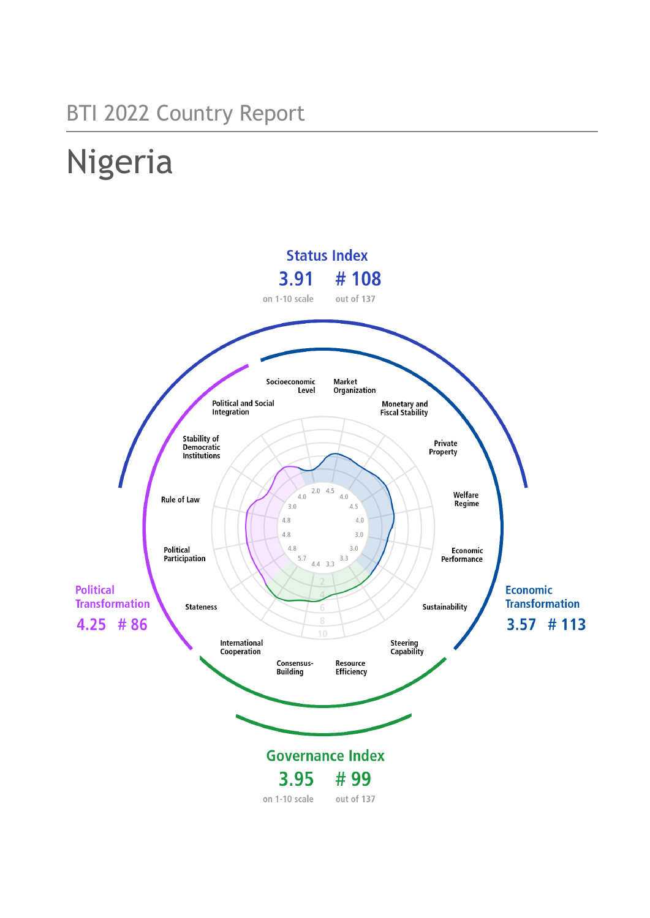# BTI 2022 Country Report

# Nigeria

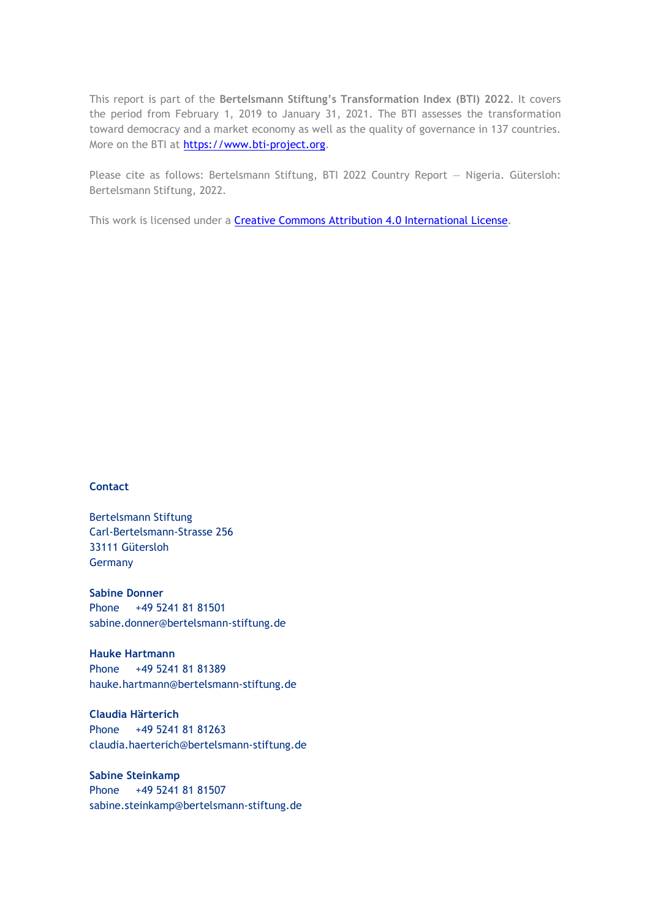This report is part of the **Bertelsmann Stiftung's Transformation Index (BTI) 2022**. It covers the period from February 1, 2019 to January 31, 2021. The BTI assesses the transformation toward democracy and a market economy as well as the quality of governance in 137 countries. More on the BTI at [https://www.bti-project.org.](https://www.bti-project.org/)

Please cite as follows: Bertelsmann Stiftung, BTI 2022 Country Report — Nigeria. Gütersloh: Bertelsmann Stiftung, 2022.

This work is licensed under a **Creative Commons Attribution 4.0 International License**.

# **Contact**

Bertelsmann Stiftung Carl-Bertelsmann-Strasse 256 33111 Gütersloh Germany

**Sabine Donner** Phone +49 5241 81 81501 sabine.donner@bertelsmann-stiftung.de

**Hauke Hartmann** Phone +49 5241 81 81389 hauke.hartmann@bertelsmann-stiftung.de

**Claudia Härterich** Phone +49 5241 81 81263 claudia.haerterich@bertelsmann-stiftung.de

# **Sabine Steinkamp** Phone +49 5241 81 81507 sabine.steinkamp@bertelsmann-stiftung.de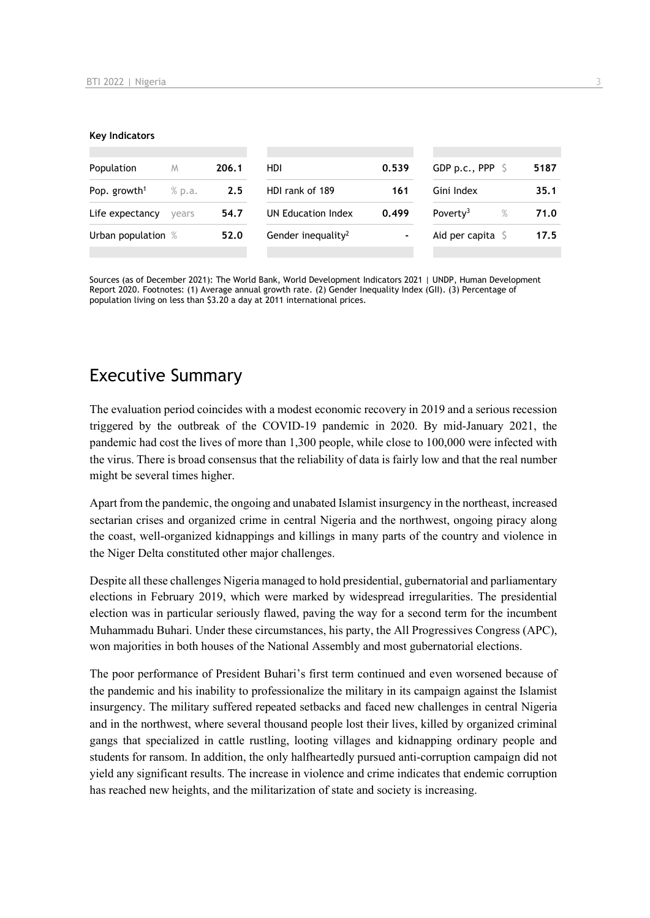#### **Key Indicators**

| Population                           | M | 206.1 | HDI.                           | 0.539          | GDP p.c., PPP $\ S$       | 5187 |
|--------------------------------------|---|-------|--------------------------------|----------------|---------------------------|------|
| Pop. growth <sup>1</sup><br>$%$ p.a. |   | 2.5   | HDI rank of 189<br>161         |                | Gini Index                | 35.1 |
| Life expectancy<br>vears             |   | 54.7  | UN Education Index             | 0.499          | Poverty <sup>3</sup><br>% | 71.0 |
| Urban population %                   |   | 52.0  | Gender inequality <sup>2</sup> | $\blacksquare$ | Aid per capita $\sqrt{5}$ | 17.5 |
|                                      |   |       |                                |                |                           |      |

Sources (as of December 2021): The World Bank, World Development Indicators 2021 | UNDP, Human Development Report 2020. Footnotes: (1) Average annual growth rate. (2) Gender Inequality Index (GII). (3) Percentage of population living on less than \$3.20 a day at 2011 international prices.

# Executive Summary

The evaluation period coincides with a modest economic recovery in 2019 and a serious recession triggered by the outbreak of the COVID-19 pandemic in 2020. By mid-January 2021, the pandemic had cost the lives of more than 1,300 people, while close to 100,000 were infected with the virus. There is broad consensus that the reliability of data is fairly low and that the real number might be several times higher.

Apart from the pandemic, the ongoing and unabated Islamist insurgency in the northeast, increased sectarian crises and organized crime in central Nigeria and the northwest, ongoing piracy along the coast, well-organized kidnappings and killings in many parts of the country and violence in the Niger Delta constituted other major challenges.

Despite all these challenges Nigeria managed to hold presidential, gubernatorial and parliamentary elections in February 2019, which were marked by widespread irregularities. The presidential election was in particular seriously flawed, paving the way for a second term for the incumbent Muhammadu Buhari. Under these circumstances, his party, the All Progressives Congress (APC), won majorities in both houses of the National Assembly and most gubernatorial elections.

The poor performance of President Buhari's first term continued and even worsened because of the pandemic and his inability to professionalize the military in its campaign against the Islamist insurgency. The military suffered repeated setbacks and faced new challenges in central Nigeria and in the northwest, where several thousand people lost their lives, killed by organized criminal gangs that specialized in cattle rustling, looting villages and kidnapping ordinary people and students for ransom. In addition, the only halfheartedly pursued anti-corruption campaign did not yield any significant results. The increase in violence and crime indicates that endemic corruption has reached new heights, and the militarization of state and society is increasing.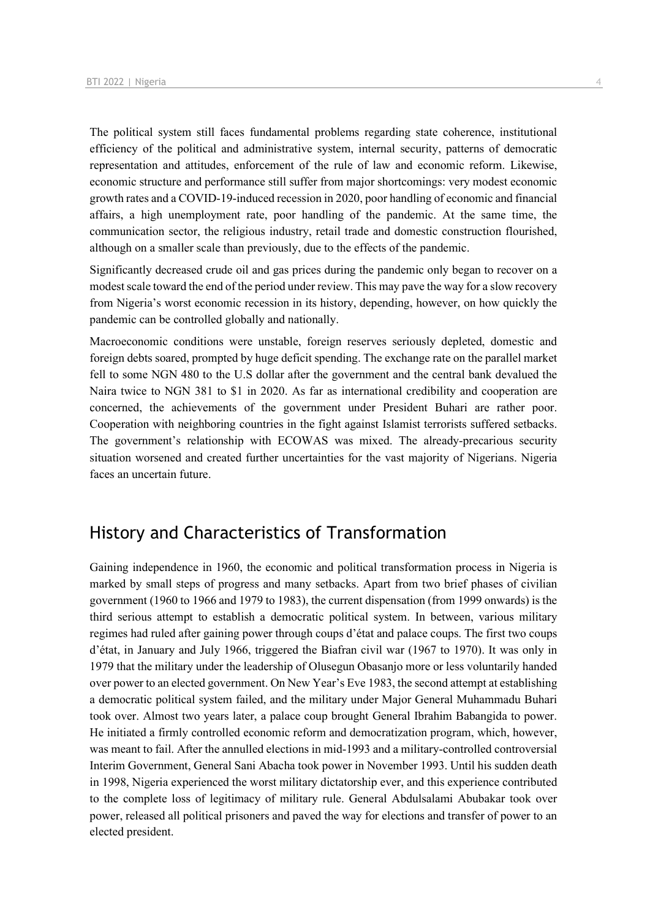The political system still faces fundamental problems regarding state coherence, institutional efficiency of the political and administrative system, internal security, patterns of democratic representation and attitudes, enforcement of the rule of law and economic reform. Likewise, economic structure and performance still suffer from major shortcomings: very modest economic growth rates and a COVID-19-induced recession in 2020, poor handling of economic and financial affairs, a high unemployment rate, poor handling of the pandemic. At the same time, the communication sector, the religious industry, retail trade and domestic construction flourished, although on a smaller scale than previously, due to the effects of the pandemic.

Significantly decreased crude oil and gas prices during the pandemic only began to recover on a modest scale toward the end of the period under review. This may pave the way for a slow recovery from Nigeria's worst economic recession in its history, depending, however, on how quickly the pandemic can be controlled globally and nationally.

Macroeconomic conditions were unstable, foreign reserves seriously depleted, domestic and foreign debts soared, prompted by huge deficit spending. The exchange rate on the parallel market fell to some NGN 480 to the U.S dollar after the government and the central bank devalued the Naira twice to NGN 381 to \$1 in 2020. As far as international credibility and cooperation are concerned, the achievements of the government under President Buhari are rather poor. Cooperation with neighboring countries in the fight against Islamist terrorists suffered setbacks. The government's relationship with ECOWAS was mixed. The already-precarious security situation worsened and created further uncertainties for the vast majority of Nigerians. Nigeria faces an uncertain future.

# History and Characteristics of Transformation

Gaining independence in 1960, the economic and political transformation process in Nigeria is marked by small steps of progress and many setbacks. Apart from two brief phases of civilian government (1960 to 1966 and 1979 to 1983), the current dispensation (from 1999 onwards) is the third serious attempt to establish a democratic political system. In between, various military regimes had ruled after gaining power through coups d'état and palace coups. The first two coups d'état, in January and July 1966, triggered the Biafran civil war (1967 to 1970). It was only in 1979 that the military under the leadership of Olusegun Obasanjo more or less voluntarily handed over power to an elected government. On New Year's Eve 1983, the second attempt at establishing a democratic political system failed, and the military under Major General Muhammadu Buhari took over. Almost two years later, a palace coup brought General Ibrahim Babangida to power. He initiated a firmly controlled economic reform and democratization program, which, however, was meant to fail. After the annulled elections in mid-1993 and a military-controlled controversial Interim Government, General Sani Abacha took power in November 1993. Until his sudden death in 1998, Nigeria experienced the worst military dictatorship ever, and this experience contributed to the complete loss of legitimacy of military rule. General Abdulsalami Abubakar took over power, released all political prisoners and paved the way for elections and transfer of power to an elected president.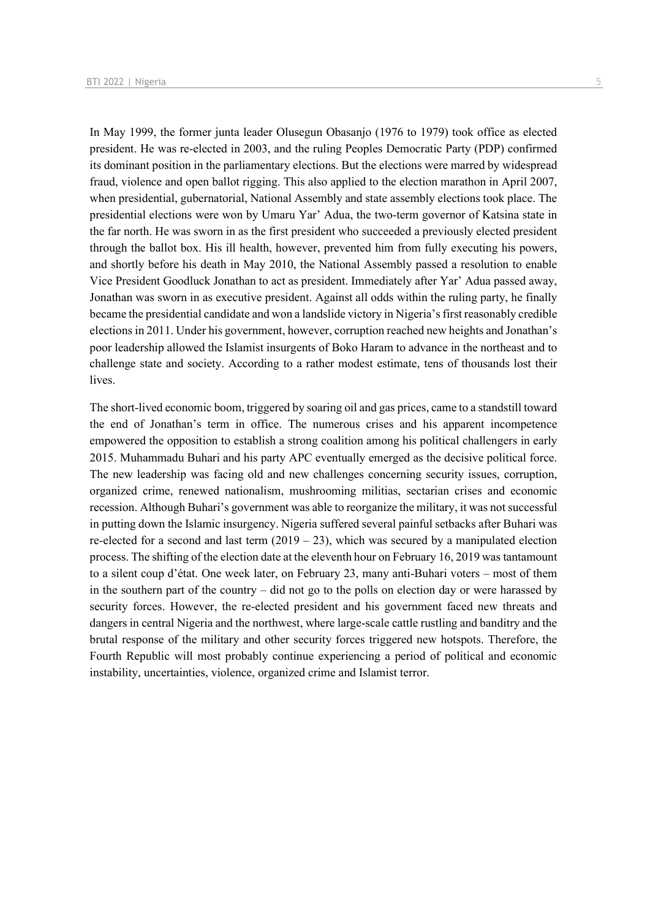In May 1999, the former junta leader Olusegun Obasanjo (1976 to 1979) took office as elected president. He was re-elected in 2003, and the ruling Peoples Democratic Party (PDP) confirmed its dominant position in the parliamentary elections. But the elections were marred by widespread fraud, violence and open ballot rigging. This also applied to the election marathon in April 2007, when presidential, gubernatorial, National Assembly and state assembly elections took place. The presidential elections were won by Umaru Yar' Adua, the two-term governor of Katsina state in the far north. He was sworn in as the first president who succeeded a previously elected president through the ballot box. His ill health, however, prevented him from fully executing his powers, and shortly before his death in May 2010, the National Assembly passed a resolution to enable Vice President Goodluck Jonathan to act as president. Immediately after Yar' Adua passed away, Jonathan was sworn in as executive president. Against all odds within the ruling party, he finally became the presidential candidate and won a landslide victory in Nigeria's first reasonably credible elections in 2011. Under his government, however, corruption reached new heights and Jonathan's poor leadership allowed the Islamist insurgents of Boko Haram to advance in the northeast and to challenge state and society. According to a rather modest estimate, tens of thousands lost their lives.

The short-lived economic boom, triggered by soaring oil and gas prices, came to a standstill toward the end of Jonathan's term in office. The numerous crises and his apparent incompetence empowered the opposition to establish a strong coalition among his political challengers in early 2015. Muhammadu Buhari and his party APC eventually emerged as the decisive political force. The new leadership was facing old and new challenges concerning security issues, corruption, organized crime, renewed nationalism, mushrooming militias, sectarian crises and economic recession. Although Buhari's government was able to reorganize the military, it was not successful in putting down the Islamic insurgency. Nigeria suffered several painful setbacks after Buhari was re-elected for a second and last term  $(2019 - 23)$ , which was secured by a manipulated election process. The shifting of the election date at the eleventh hour on February 16, 2019 was tantamount to a silent coup d'état. One week later, on February 23, many anti-Buhari voters – most of them in the southern part of the country – did not go to the polls on election day or were harassed by security forces. However, the re-elected president and his government faced new threats and dangers in central Nigeria and the northwest, where large-scale cattle rustling and banditry and the brutal response of the military and other security forces triggered new hotspots. Therefore, the Fourth Republic will most probably continue experiencing a period of political and economic instability, uncertainties, violence, organized crime and Islamist terror.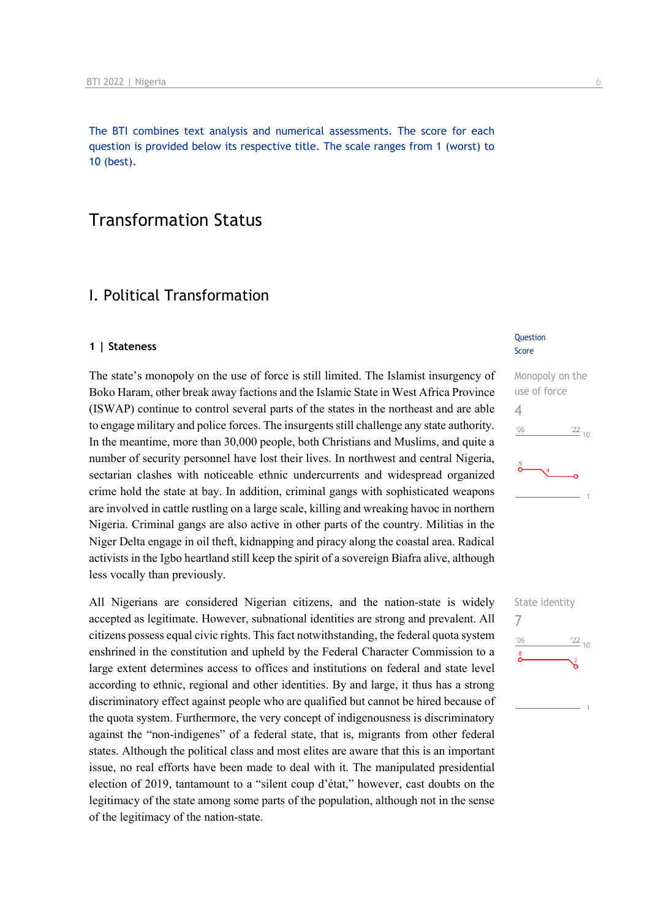The BTI combines text analysis and numerical assessments. The score for each question is provided below its respective title. The scale ranges from 1 (worst) to 10 (best).

# Transformation Status

# I. Political Transformation

#### **1 | Stateness**

The state's monopoly on the use of force is still limited. The Islamist insurgency of Boko Haram, other break away factions and the Islamic State in West Africa Province (ISWAP) continue to control several parts of the states in the northeast and are able to engage military and police forces. The insurgents still challenge any state authority. In the meantime, more than 30,000 people, both Christians and Muslims, and quite a number of security personnel have lost their lives. In northwest and central Nigeria, sectarian clashes with noticeable ethnic undercurrents and widespread organized crime hold the state at bay. In addition, criminal gangs with sophisticated weapons are involved in cattle rustling on a large scale, killing and wreaking havoc in northern Nigeria. Criminal gangs are also active in other parts of the country. Militias in the Niger Delta engage in oil theft, kidnapping and piracy along the coastal area. Radical activists in the Igbo heartland still keep the spirit of a sovereign Biafra alive, although less vocally than previously.

All Nigerians are considered Nigerian citizens, and the nation-state is widely accepted as legitimate. However, subnational identities are strong and prevalent. All citizens possess equal civic rights. This fact notwithstanding, the federal quota system enshrined in the constitution and upheld by the Federal Character Commission to a large extent determines access to offices and institutions on federal and state level according to ethnic, regional and other identities. By and large, it thus has a strong discriminatory effect against people who are qualified but cannot be hired because of the quota system. Furthermore, the very concept of indigenousness is discriminatory against the "non-indigenes" of a federal state, that is, migrants from other federal states. Although the political class and most elites are aware that this is an important issue, no real efforts have been made to deal with it. The manipulated presidential election of 2019, tantamount to a "silent coup d'état," however, cast doubts on the legitimacy of the state among some parts of the population, although not in the sense of the legitimacy of the nation-state.

#### **Question** Score



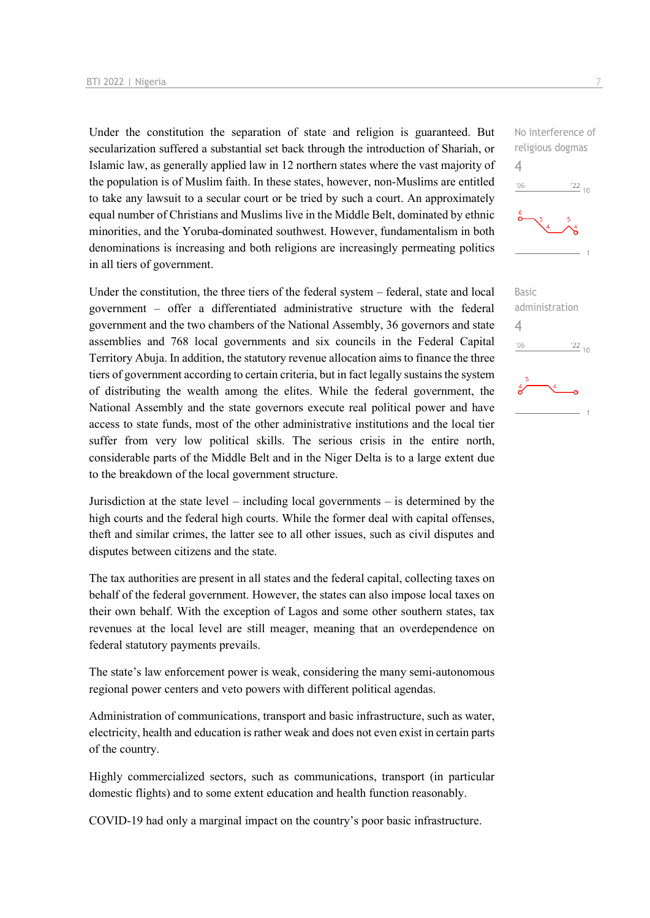Under the constitution the separation of state and religion is guaranteed. But secularization suffered a substantial set back through the introduction of Shariah, or Islamic law, as generally applied law in 12 northern states where the vast majority of the population is of Muslim faith. In these states, however, non-Muslims are entitled to take any lawsuit to a secular court or be tried by such a court. An approximately equal number of Christians and Muslims live in the Middle Belt, dominated by ethnic minorities, and the Yoruba-dominated southwest. However, fundamentalism in both denominations is increasing and both religions are increasingly permeating politics in all tiers of government.

Under the constitution, the three tiers of the federal system – federal, state and local government – offer a differentiated administrative structure with the federal government and the two chambers of the National Assembly, 36 governors and state assemblies and 768 local governments and six councils in the Federal Capital Territory Abuja. In addition, the statutory revenue allocation aims to finance the three tiers of government according to certain criteria, but in fact legally sustains the system of distributing the wealth among the elites. While the federal government, the National Assembly and the state governors execute real political power and have access to state funds, most of the other administrative institutions and the local tier suffer from very low political skills. The serious crisis in the entire north, considerable parts of the Middle Belt and in the Niger Delta is to a large extent due to the breakdown of the local government structure.

Jurisdiction at the state level – including local governments – is determined by the high courts and the federal high courts. While the former deal with capital offenses, theft and similar crimes, the latter see to all other issues, such as civil disputes and disputes between citizens and the state.

The tax authorities are present in all states and the federal capital, collecting taxes on behalf of the federal government. However, the states can also impose local taxes on their own behalf. With the exception of Lagos and some other southern states, tax revenues at the local level are still meager, meaning that an overdependence on federal statutory payments prevails.

The state's law enforcement power is weak, considering the many semi-autonomous regional power centers and veto powers with different political agendas.

Administration of communications, transport and basic infrastructure, such as water, electricity, health and education is rather weak and does not even exist in certain parts of the country.

Highly commercialized sectors, such as communications, transport (in particular domestic flights) and to some extent education and health function reasonably.

COVID-19 had only a marginal impact on the country's poor basic infrastructure.

 $-06$  $\frac{22}{10}$ Basic administration  $\frac{22}{10}$  $'06$ 

No interference of religious dogmas

 $\Delta$ 

4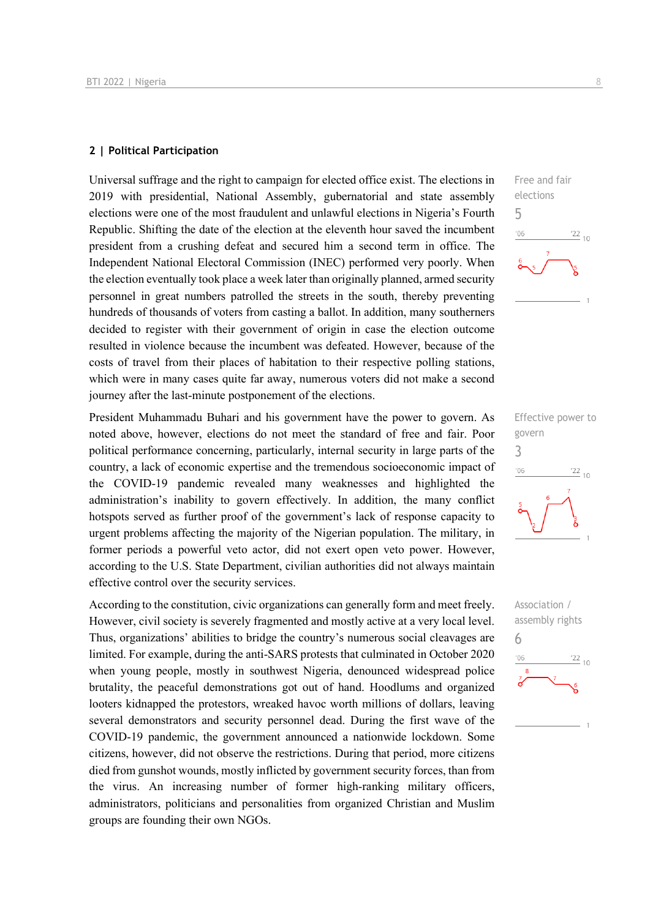#### **2 | Political Participation**

Universal suffrage and the right to campaign for elected office exist. The elections in 2019 with presidential, National Assembly, gubernatorial and state assembly elections were one of the most fraudulent and unlawful elections in Nigeria's Fourth Republic. Shifting the date of the election at the eleventh hour saved the incumbent president from a crushing defeat and secured him a second term in office. The Independent National Electoral Commission (INEC) performed very poorly. When the election eventually took place a week later than originally planned, armed security personnel in great numbers patrolled the streets in the south, thereby preventing hundreds of thousands of voters from casting a ballot. In addition, many southerners decided to register with their government of origin in case the election outcome resulted in violence because the incumbent was defeated. However, because of the costs of travel from their places of habitation to their respective polling stations, which were in many cases quite far away, numerous voters did not make a second journey after the last-minute postponement of the elections.

President Muhammadu Buhari and his government have the power to govern. As noted above, however, elections do not meet the standard of free and fair. Poor political performance concerning, particularly, internal security in large parts of the country, a lack of economic expertise and the tremendous socioeconomic impact of the COVID-19 pandemic revealed many weaknesses and highlighted the administration's inability to govern effectively. In addition, the many conflict hotspots served as further proof of the government's lack of response capacity to urgent problems affecting the majority of the Nigerian population. The military, in former periods a powerful veto actor, did not exert open veto power. However, according to the U.S. State Department, civilian authorities did not always maintain effective control over the security services.

According to the constitution, civic organizations can generally form and meet freely. However, civil society is severely fragmented and mostly active at a very local level. Thus, organizations' abilities to bridge the country's numerous social cleavages are limited. For example, during the anti-SARS protests that culminated in October 2020 when young people, mostly in southwest Nigeria, denounced widespread police brutality, the peaceful demonstrations got out of hand. Hoodlums and organized looters kidnapped the protestors, wreaked havoc worth millions of dollars, leaving several demonstrators and security personnel dead. During the first wave of the COVID-19 pandemic, the government announced a nationwide lockdown. Some citizens, however, did not observe the restrictions. During that period, more citizens died from gunshot wounds, mostly inflicted by government security forces, than from the virus. An increasing number of former high-ranking military officers, administrators, politicians and personalities from organized Christian and Muslim groups are founding their own NGOs.





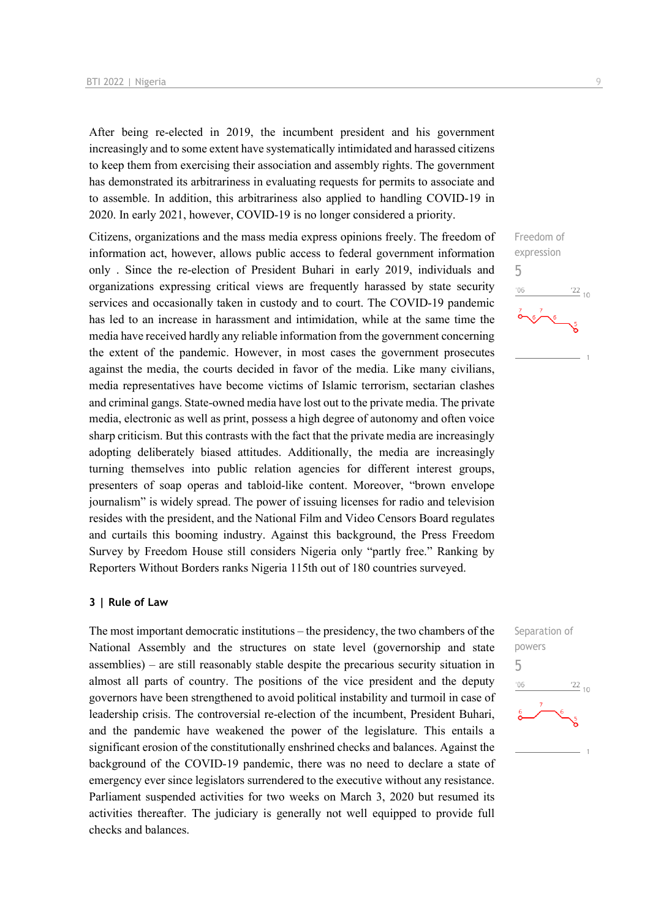After being re-elected in 2019, the incumbent president and his government increasingly and to some extent have systematically intimidated and harassed citizens to keep them from exercising their association and assembly rights. The government has demonstrated its arbitrariness in evaluating requests for permits to associate and to assemble. In addition, this arbitrariness also applied to handling COVID-19 in 2020. In early 2021, however, COVID-19 is no longer considered a priority.

Citizens, organizations and the mass media express opinions freely. The freedom of information act, however, allows public access to federal government information only . Since the re-election of President Buhari in early 2019, individuals and organizations expressing critical views are frequently harassed by state security services and occasionally taken in custody and to court. The COVID-19 pandemic has led to an increase in harassment and intimidation, while at the same time the media have received hardly any reliable information from the government concerning the extent of the pandemic. However, in most cases the government prosecutes against the media, the courts decided in favor of the media. Like many civilians, media representatives have become victims of Islamic terrorism, sectarian clashes and criminal gangs. State-owned media have lost out to the private media. The private media, electronic as well as print, possess a high degree of autonomy and often voice sharp criticism. But this contrasts with the fact that the private media are increasingly adopting deliberately biased attitudes. Additionally, the media are increasingly turning themselves into public relation agencies for different interest groups, presenters of soap operas and tabloid-like content. Moreover, "brown envelope journalism" is widely spread. The power of issuing licenses for radio and television resides with the president, and the National Film and Video Censors Board regulates and curtails this booming industry. Against this background, the Press Freedom Survey by Freedom House still considers Nigeria only "partly free." Ranking by Reporters Without Borders ranks Nigeria 115th out of 180 countries surveyed.

# **3 | Rule of Law**

The most important democratic institutions – the presidency, the two chambers of the National Assembly and the structures on state level (governorship and state assemblies) – are still reasonably stable despite the precarious security situation in almost all parts of country. The positions of the vice president and the deputy governors have been strengthened to avoid political instability and turmoil in case of leadership crisis. The controversial re-election of the incumbent, President Buhari, and the pandemic have weakened the power of the legislature. This entails a significant erosion of the constitutionally enshrined checks and balances. Against the background of the COVID-19 pandemic, there was no need to declare a state of emergency ever since legislators surrendered to the executive without any resistance. Parliament suspended activities for two weeks on March 3, 2020 but resumed its activities thereafter. The judiciary is generally not well equipped to provide full checks and balances.



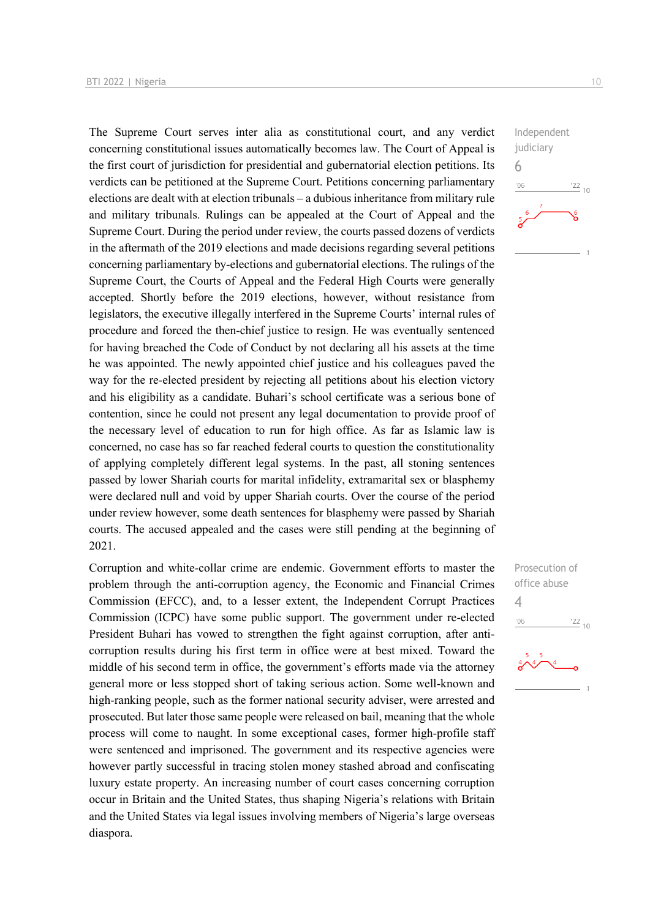The Supreme Court serves inter alia as constitutional court, and any verdict concerning constitutional issues automatically becomes law. The Court of Appeal is the first court of jurisdiction for presidential and gubernatorial election petitions. Its verdicts can be petitioned at the Supreme Court. Petitions concerning parliamentary elections are dealt with at election tribunals – a dubious inheritance from military rule and military tribunals. Rulings can be appealed at the Court of Appeal and the Supreme Court. During the period under review, the courts passed dozens of verdicts in the aftermath of the 2019 elections and made decisions regarding several petitions concerning parliamentary by-elections and gubernatorial elections. The rulings of the Supreme Court, the Courts of Appeal and the Federal High Courts were generally accepted. Shortly before the 2019 elections, however, without resistance from legislators, the executive illegally interfered in the Supreme Courts' internal rules of procedure and forced the then-chief justice to resign. He was eventually sentenced for having breached the Code of Conduct by not declaring all his assets at the time he was appointed. The newly appointed chief justice and his colleagues paved the way for the re-elected president by rejecting all petitions about his election victory and his eligibility as a candidate. Buhari's school certificate was a serious bone of contention, since he could not present any legal documentation to provide proof of the necessary level of education to run for high office. As far as Islamic law is concerned, no case has so far reached federal courts to question the constitutionality of applying completely different legal systems. In the past, all stoning sentences passed by lower Shariah courts for marital infidelity, extramarital sex or blasphemy were declared null and void by upper Shariah courts. Over the course of the period under review however, some death sentences for blasphemy were passed by Shariah courts. The accused appealed and the cases were still pending at the beginning of 2021.

Corruption and white-collar crime are endemic. Government efforts to master the problem through the anti-corruption agency, the Economic and Financial Crimes Commission (EFCC), and, to a lesser extent, the Independent Corrupt Practices Commission (ICPC) have some public support. The government under re-elected President Buhari has vowed to strengthen the fight against corruption, after anticorruption results during his first term in office were at best mixed. Toward the middle of his second term in office, the government's efforts made via the attorney general more or less stopped short of taking serious action. Some well-known and high-ranking people, such as the former national security adviser, were arrested and prosecuted. But later those same people were released on bail, meaning that the whole process will come to naught. In some exceptional cases, former high-profile staff were sentenced and imprisoned. The government and its respective agencies were however partly successful in tracing stolen money stashed abroad and confiscating luxury estate property. An increasing number of court cases concerning corruption occur in Britain and the United States, thus shaping Nigeria's relations with Britain and the United States via legal issues involving members of Nigeria's large overseas diaspora.



Prosecution of office abuse 4 $\frac{22}{10}$  $06'$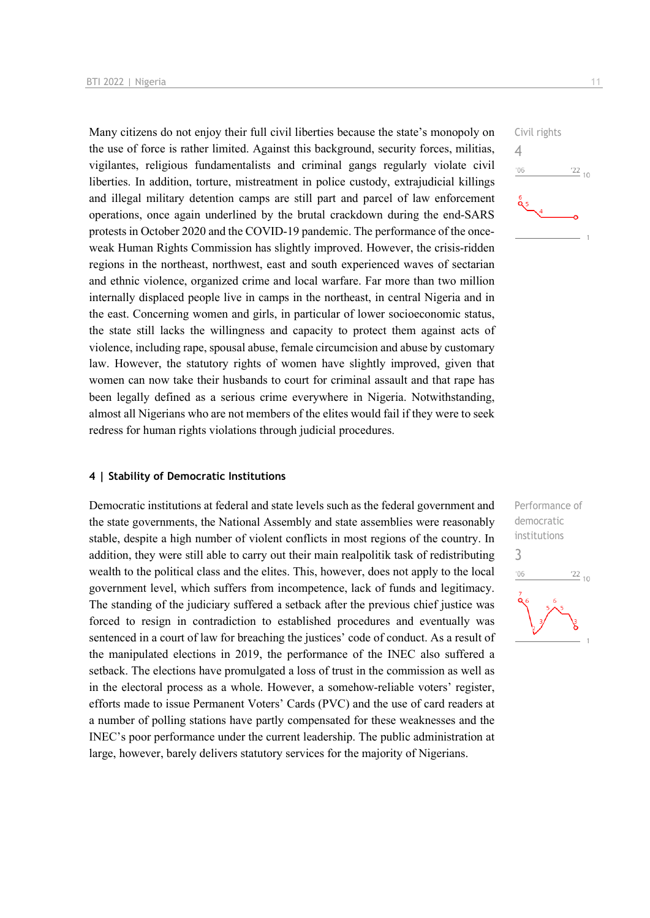Many citizens do not enjoy their full civil liberties because the state's monopoly on the use of force is rather limited. Against this background, security forces, militias, vigilantes, religious fundamentalists and criminal gangs regularly violate civil liberties. In addition, torture, mistreatment in police custody, extrajudicial killings and illegal military detention camps are still part and parcel of law enforcement operations, once again underlined by the brutal crackdown during the end-SARS protests in October 2020 and the COVID-19 pandemic. The performance of the onceweak Human Rights Commission has slightly improved. However, the crisis-ridden regions in the northeast, northwest, east and south experienced waves of sectarian and ethnic violence, organized crime and local warfare. Far more than two million internally displaced people live in camps in the northeast, in central Nigeria and in the east. Concerning women and girls, in particular of lower socioeconomic status, the state still lacks the willingness and capacity to protect them against acts of violence, including rape, spousal abuse, female circumcision and abuse by customary law. However, the statutory rights of women have slightly improved, given that women can now take their husbands to court for criminal assault and that rape has been legally defined as a serious crime everywhere in Nigeria. Notwithstanding, almost all Nigerians who are not members of the elites would fail if they were to seek redress for human rights violations through judicial procedures.

# Civil rights 4  $-06$  $\frac{22}{10}$

#### **4 | Stability of Democratic Institutions**

Democratic institutions at federal and state levels such as the federal government and the state governments, the National Assembly and state assemblies were reasonably stable, despite a high number of violent conflicts in most regions of the country. In addition, they were still able to carry out their main realpolitik task of redistributing wealth to the political class and the elites. This, however, does not apply to the local government level, which suffers from incompetence, lack of funds and legitimacy. The standing of the judiciary suffered a setback after the previous chief justice was forced to resign in contradiction to established procedures and eventually was sentenced in a court of law for breaching the justices' code of conduct. As a result of the manipulated elections in 2019, the performance of the INEC also suffered a setback. The elections have promulgated a loss of trust in the commission as well as in the electoral process as a whole. However, a somehow-reliable voters' register, efforts made to issue Permanent Voters' Cards (PVC) and the use of card readers at a number of polling stations have partly compensated for these weaknesses and the INEC's poor performance under the current leadership. The public administration at large, however, barely delivers statutory services for the majority of Nigerians.

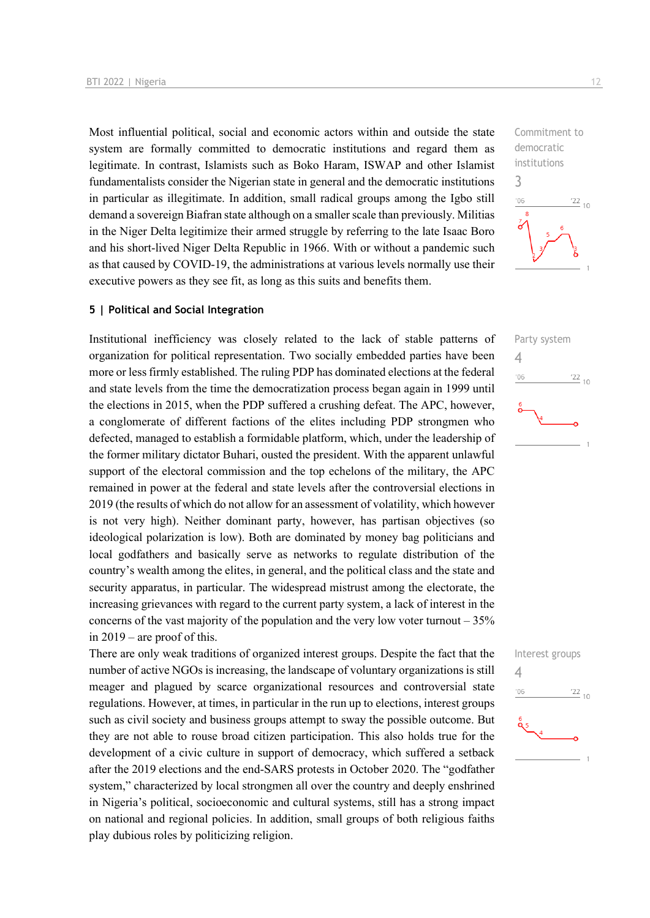Most influential political, social and economic actors within and outside the state system are formally committed to democratic institutions and regard them as legitimate. In contrast, Islamists such as Boko Haram, ISWAP and other Islamist fundamentalists consider the Nigerian state in general and the democratic institutions in particular as illegitimate. In addition, small radical groups among the Igbo still demand a sovereign Biafran state although on a smaller scale than previously. Militias in the Niger Delta legitimize their armed struggle by referring to the late Isaac Boro and his short-lived Niger Delta Republic in 1966. With or without a pandemic such as that caused by COVID-19, the administrations at various levels normally use their executive powers as they see fit, as long as this suits and benefits them.

# **5 | Political and Social Integration**

Institutional inefficiency was closely related to the lack of stable patterns of organization for political representation. Two socially embedded parties have been more or less firmly established. The ruling PDP has dominated elections at the federal and state levels from the time the democratization process began again in 1999 until the elections in 2015, when the PDP suffered a crushing defeat. The APC, however, a conglomerate of different factions of the elites including PDP strongmen who defected, managed to establish a formidable platform, which, under the leadership of the former military dictator Buhari, ousted the president. With the apparent unlawful support of the electoral commission and the top echelons of the military, the APC remained in power at the federal and state levels after the controversial elections in 2019 (the results of which do not allow for an assessment of volatility, which however is not very high). Neither dominant party, however, has partisan objectives (so ideological polarization is low). Both are dominated by money bag politicians and local godfathers and basically serve as networks to regulate distribution of the country's wealth among the elites, in general, and the political class and the state and security apparatus, in particular. The widespread mistrust among the electorate, the increasing grievances with regard to the current party system, a lack of interest in the concerns of the vast majority of the population and the very low voter turnout  $-35\%$ in 2019 – are proof of this.

There are only weak traditions of organized interest groups. Despite the fact that the number of active NGOs is increasing, the landscape of voluntary organizations is still meager and plagued by scarce organizational resources and controversial state regulations. However, at times, in particular in the run up to elections, interest groups such as civil society and business groups attempt to sway the possible outcome. But they are not able to rouse broad citizen participation. This also holds true for the development of a civic culture in support of democracy, which suffered a setback after the 2019 elections and the end-SARS protests in October 2020. The "godfather system," characterized by local strongmen all over the country and deeply enshrined in Nigeria's political, socioeconomic and cultural systems, still has a strong impact on national and regional policies. In addition, small groups of both religious faiths play dubious roles by politicizing religion.

Commitment to democratic institutions 3  $\frac{22}{10}$  $n<sub>6</sub>$ 



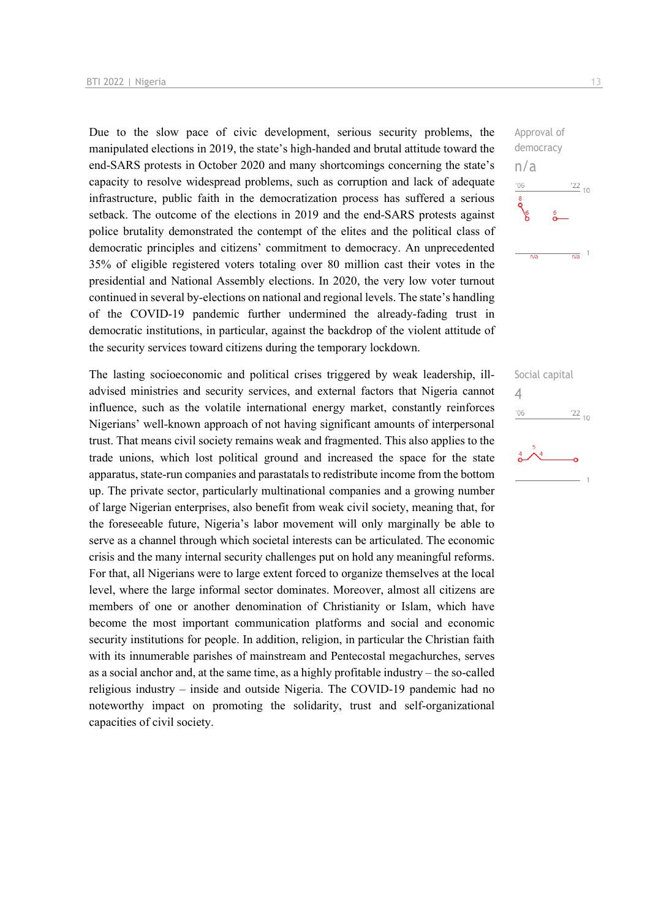Due to the slow pace of civic development, serious security problems, the manipulated elections in 2019, the state's high-handed and brutal attitude toward the end-SARS protests in October 2020 and many shortcomings concerning the state's capacity to resolve widespread problems, such as corruption and lack of adequate infrastructure, public faith in the democratization process has suffered a serious setback. The outcome of the elections in 2019 and the end-SARS protests against police brutality demonstrated the contempt of the elites and the political class of democratic principles and citizens' commitment to democracy. An unprecedented 35% of eligible registered voters totaling over 80 million cast their votes in the presidential and National Assembly elections. In 2020, the very low voter turnout continued in several by-elections on national and regional levels. The state's handling of the COVID-19 pandemic further undermined the already-fading trust in democratic institutions, in particular, against the backdrop of the violent attitude of the security services toward citizens during the temporary lockdown.

The lasting socioeconomic and political crises triggered by weak leadership, illadvised ministries and security services, and external factors that Nigeria cannot influence, such as the volatile international energy market, constantly reinforces Nigerians' well-known approach of not having significant amounts of interpersonal trust. That means civil society remains weak and fragmented. This also applies to the trade unions, which lost political ground and increased the space for the state apparatus, state-run companies and parastatals to redistribute income from the bottom up. The private sector, particularly multinational companies and a growing number of large Nigerian enterprises, also benefit from weak civil society, meaning that, for the foreseeable future, Nigeria's labor movement will only marginally be able to serve as a channel through which societal interests can be articulated. The economic crisis and the many internal security challenges put on hold any meaningful reforms. For that, all Nigerians were to large extent forced to organize themselves at the local level, where the large informal sector dominates. Moreover, almost all citizens are members of one or another denomination of Christianity or Islam, which have become the most important communication platforms and social and economic security institutions for people. In addition, religion, in particular the Christian faith with its innumerable parishes of mainstream and Pentecostal megachurches, serves as a social anchor and, at the same time, as a highly profitable industry – the so-called religious industry – inside and outside Nigeria. The COVID-19 pandemic had no noteworthy impact on promoting the solidarity, trust and self-organizational capacities of civil society.



Social capital 4 $\frac{22}{10}$  $^{\prime}06$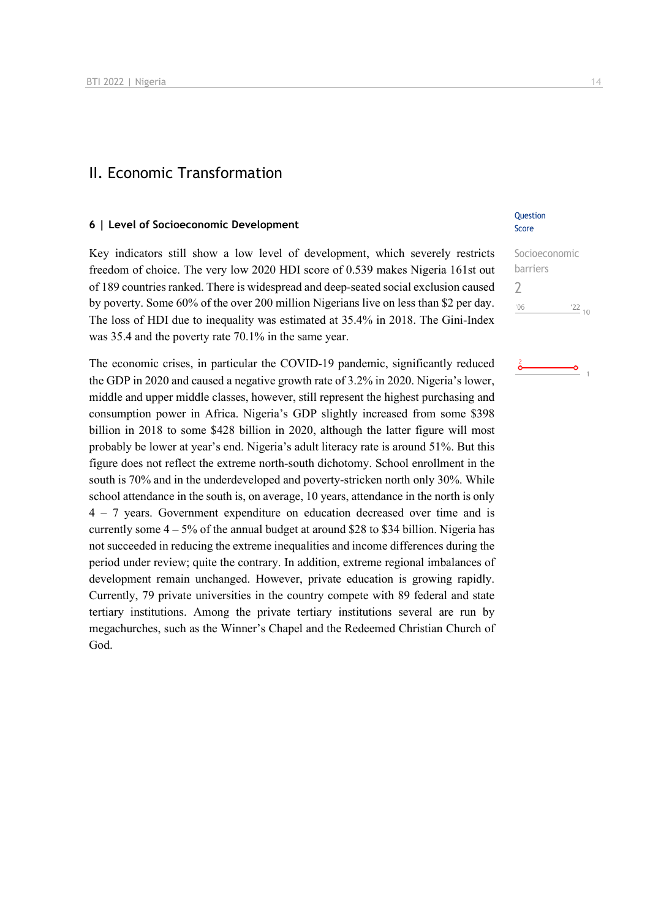# II. Economic Transformation

# **6 | Level of Socioeconomic Development**

Key indicators still show a low level of development, which severely restricts freedom of choice. The very low 2020 HDI score of 0.539 makes Nigeria 161st out of 189 countries ranked. There is widespread and deep-seated social exclusion caused by poverty. Some 60% of the over 200 million Nigerians live on less than \$2 per day. The loss of HDI due to inequality was estimated at 35.4% in 2018. The Gini-Index was 35.4 and the poverty rate 70.1% in the same year.

The economic crises, in particular the COVID-19 pandemic, significantly reduced the GDP in 2020 and caused a negative growth rate of 3.2% in 2020. Nigeria's lower, middle and upper middle classes, however, still represent the highest purchasing and consumption power in Africa. Nigeria's GDP slightly increased from some \$398 billion in 2018 to some \$428 billion in 2020, although the latter figure will most probably be lower at year's end. Nigeria's adult literacy rate is around 51%. But this figure does not reflect the extreme north-south dichotomy. School enrollment in the south is 70% and in the underdeveloped and poverty-stricken north only 30%. While school attendance in the south is, on average, 10 years, attendance in the north is only 4 – 7 years. Government expenditure on education decreased over time and is currently some  $4 - 5\%$  of the annual budget at around \$28 to \$34 billion. Nigeria has not succeeded in reducing the extreme inequalities and income differences during the period under review; quite the contrary. In addition, extreme regional imbalances of development remain unchanged. However, private education is growing rapidly. Currently, 79 private universities in the country compete with 89 federal and state tertiary institutions. Among the private tertiary institutions several are run by megachurches, such as the Winner's Chapel and the Redeemed Christian Church of God.

# **Question** Score

| Socioeconomic |         |
|---------------|---------|
| barriers      |         |
|               |         |
| 106           | $'22$ , |
|               |         |

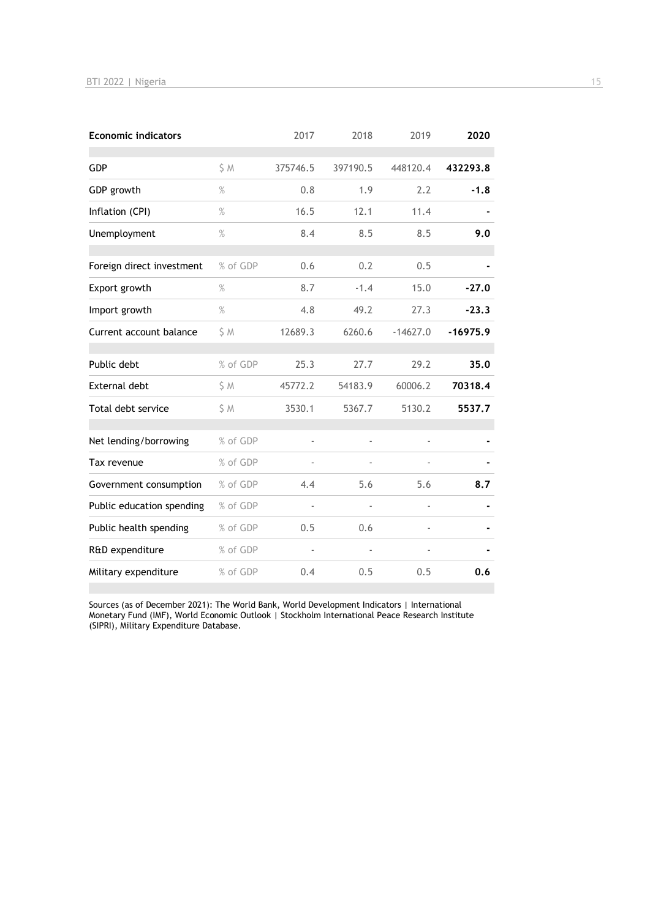| <b>Economic indicators</b> |               | 2017     | 2018     | 2019           | 2020       |
|----------------------------|---------------|----------|----------|----------------|------------|
| <b>GDP</b>                 | S M           | 375746.5 | 397190.5 | 448120.4       | 432293.8   |
| GDP growth                 | $\%$          | 0.8      | 1.9      | 2.2            | $-1.8$     |
| Inflation (CPI)            | $\%$          | 16.5     | 12.1     | 11.4           |            |
| Unemployment               | $\frac{9}{6}$ | 8.4      | 8.5      | 8.5            | 9.0        |
| Foreign direct investment  | % of GDP      | 0.6      | 0.2      | 0.5            |            |
| Export growth              | $\%$          | 8.7      | $-1.4$   | 15.0           | $-27.0$    |
| Import growth              | $\%$          | 4.8      | 49.2     | 27.3           | $-23.3$    |
| Current account balance    | \$M           | 12689.3  | 6260.6   | $-14627.0$     | $-16975.9$ |
| Public debt                | % of GDP      | 25.3     | 27.7     | 29.2           | 35.0       |
| <b>External debt</b>       | \$ M          | 45772.2  | 54183.9  | 60006.2        | 70318.4    |
| Total debt service         | \$M           | 3530.1   | 5367.7   | 5130.2         | 5537.7     |
| Net lending/borrowing      | % of GDP      | ÷,       |          | ÷,             |            |
| Tax revenue                | % of GDP      |          |          |                |            |
| Government consumption     | % of GDP      | 4.4      | 5.6      | 5.6            | 8.7        |
| Public education spending  | % of GDP      | ÷,       |          | $\overline{a}$ |            |
| Public health spending     | % of GDP      | 0.5      | 0.6      |                |            |
| R&D expenditure            | % of GDP      |          |          |                |            |
| Military expenditure       | % of GDP      | 0.4      | 0.5      | 0.5            | 0.6        |

Sources (as of December 2021): The World Bank, World Development Indicators | International Monetary Fund (IMF), World Economic Outlook | Stockholm International Peace Research Institute (SIPRI), Military Expenditure Database.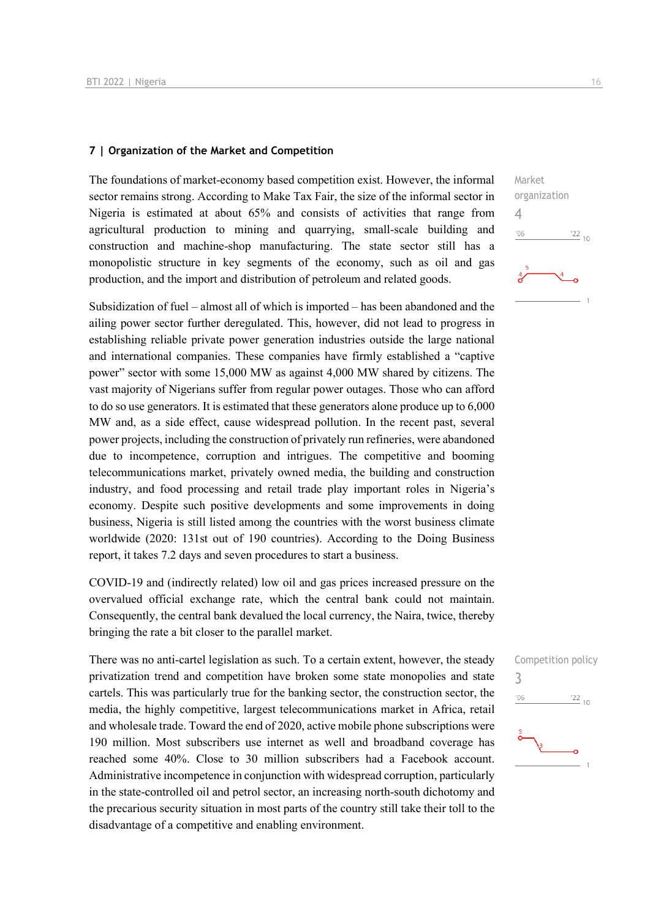# **7 | Organization of the Market and Competition**

The foundations of market-economy based competition exist. However, the informal sector remains strong. According to Make Tax Fair, the size of the informal sector in Nigeria is estimated at about 65% and consists of activities that range from agricultural production to mining and quarrying, small-scale building and construction and machine-shop manufacturing. The state sector still has a monopolistic structure in key segments of the economy, such as oil and gas production, and the import and distribution of petroleum and related goods.

Subsidization of fuel – almost all of which is imported – has been abandoned and the ailing power sector further deregulated. This, however, did not lead to progress in establishing reliable private power generation industries outside the large national and international companies. These companies have firmly established a "captive power" sector with some 15,000 MW as against 4,000 MW shared by citizens. The vast majority of Nigerians suffer from regular power outages. Those who can afford to do so use generators. It is estimated that these generators alone produce up to 6,000 MW and, as a side effect, cause widespread pollution. In the recent past, several power projects, including the construction of privately run refineries, were abandoned due to incompetence, corruption and intrigues. The competitive and booming telecommunications market, privately owned media, the building and construction industry, and food processing and retail trade play important roles in Nigeria's economy. Despite such positive developments and some improvements in doing business, Nigeria is still listed among the countries with the worst business climate worldwide (2020: 131st out of 190 countries). According to the Doing Business report, it takes 7.2 days and seven procedures to start a business.

COVID-19 and (indirectly related) low oil and gas prices increased pressure on the overvalued official exchange rate, which the central bank could not maintain. Consequently, the central bank devalued the local currency, the Naira, twice, thereby bringing the rate a bit closer to the parallel market.

There was no anti-cartel legislation as such. To a certain extent, however, the steady privatization trend and competition have broken some state monopolies and state cartels. This was particularly true for the banking sector, the construction sector, the media, the highly competitive, largest telecommunications market in Africa, retail and wholesale trade. Toward the end of 2020, active mobile phone subscriptions were 190 million. Most subscribers use internet as well and broadband coverage has reached some 40%. Close to 30 million subscribers had a Facebook account. Administrative incompetence in conjunction with widespread corruption, particularly in the state-controlled oil and petrol sector, an increasing north-south dichotomy and the precarious security situation in most parts of the country still take their toll to the disadvantage of a competitive and enabling environment.



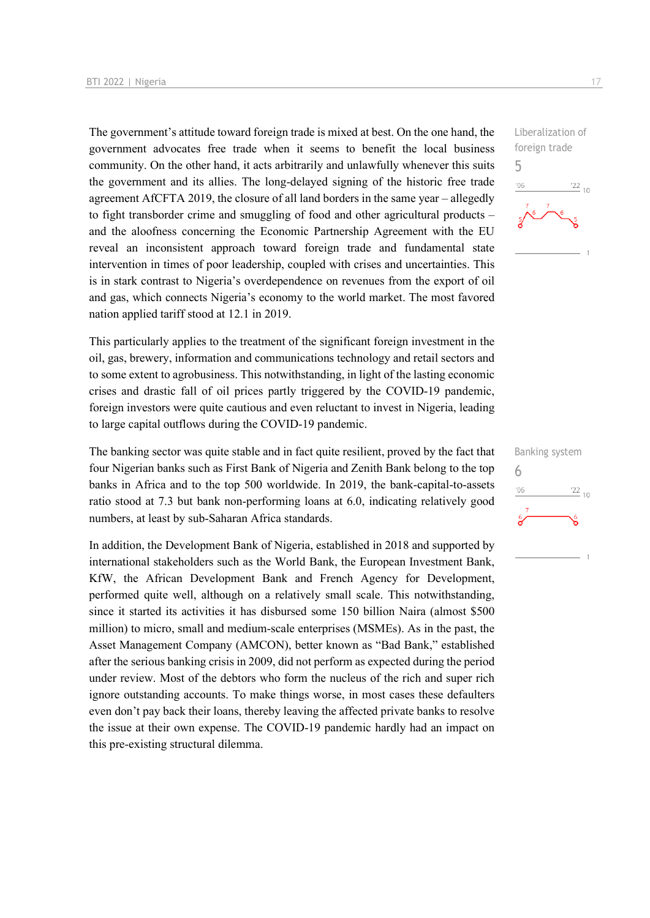The government's attitude toward foreign trade is mixed at best. On the one hand, the government advocates free trade when it seems to benefit the local business community. On the other hand, it acts arbitrarily and unlawfully whenever this suits the government and its allies. The long-delayed signing of the historic free trade agreement AfCFTA 2019, the closure of all land borders in the same year – allegedly to fight transborder crime and smuggling of food and other agricultural products – and the aloofness concerning the Economic Partnership Agreement with the EU reveal an inconsistent approach toward foreign trade and fundamental state intervention in times of poor leadership, coupled with crises and uncertainties. This is in stark contrast to Nigeria's overdependence on revenues from the export of oil and gas, which connects Nigeria's economy to the world market. The most favored nation applied tariff stood at 12.1 in 2019.

This particularly applies to the treatment of the significant foreign investment in the oil, gas, brewery, information and communications technology and retail sectors and to some extent to agrobusiness. This notwithstanding, in light of the lasting economic crises and drastic fall of oil prices partly triggered by the COVID-19 pandemic, foreign investors were quite cautious and even reluctant to invest in Nigeria, leading to large capital outflows during the COVID-19 pandemic.

The banking sector was quite stable and in fact quite resilient, proved by the fact that four Nigerian banks such as First Bank of Nigeria and Zenith Bank belong to the top banks in Africa and to the top 500 worldwide. In 2019, the bank-capital-to-assets ratio stood at 7.3 but bank non-performing loans at 6.0, indicating relatively good numbers, at least by sub-Saharan Africa standards.

In addition, the Development Bank of Nigeria, established in 2018 and supported by international stakeholders such as the World Bank, the European Investment Bank, KfW, the African Development Bank and French Agency for Development, performed quite well, although on a relatively small scale. This notwithstanding, since it started its activities it has disbursed some 150 billion Naira (almost \$500 million) to micro, small and medium-scale enterprises (MSMEs). As in the past, the Asset Management Company (AMCON), better known as "Bad Bank," established after the serious banking crisis in 2009, did not perform as expected during the period under review. Most of the debtors who form the nucleus of the rich and super rich ignore outstanding accounts. To make things worse, in most cases these defaulters even don't pay back their loans, thereby leaving the affected private banks to resolve the issue at their own expense. The COVID-19 pandemic hardly had an impact on this pre-existing structural dilemma.



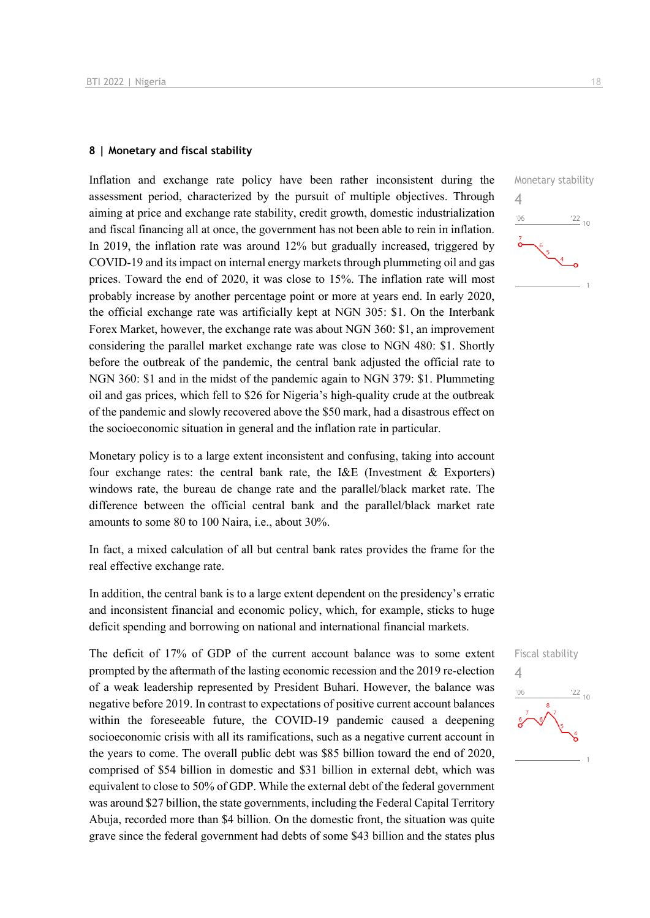#### **8 | Monetary and fiscal stability**

Inflation and exchange rate policy have been rather inconsistent during the assessment period, characterized by the pursuit of multiple objectives. Through aiming at price and exchange rate stability, credit growth, domestic industrialization and fiscal financing all at once, the government has not been able to rein in inflation. In 2019, the inflation rate was around 12% but gradually increased, triggered by COVID-19 and its impact on internal energy markets through plummeting oil and gas prices. Toward the end of 2020, it was close to 15%. The inflation rate will most probably increase by another percentage point or more at years end. In early 2020, the official exchange rate was artificially kept at NGN 305: \$1. On the Interbank Forex Market, however, the exchange rate was about NGN 360: \$1, an improvement considering the parallel market exchange rate was close to NGN 480: \$1. Shortly before the outbreak of the pandemic, the central bank adjusted the official rate to NGN 360: \$1 and in the midst of the pandemic again to NGN 379: \$1. Plummeting oil and gas prices, which fell to \$26 for Nigeria's high-quality crude at the outbreak of the pandemic and slowly recovered above the \$50 mark, had a disastrous effect on the socioeconomic situation in general and the inflation rate in particular.

Monetary policy is to a large extent inconsistent and confusing, taking into account four exchange rates: the central bank rate, the I&E (Investment & Exporters) windows rate, the bureau de change rate and the parallel/black market rate. The difference between the official central bank and the parallel/black market rate amounts to some 80 to 100 Naira, i.e., about 30%.

In fact, a mixed calculation of all but central bank rates provides the frame for the real effective exchange rate.

In addition, the central bank is to a large extent dependent on the presidency's erratic and inconsistent financial and economic policy, which, for example, sticks to huge deficit spending and borrowing on national and international financial markets.

The deficit of 17% of GDP of the current account balance was to some extent prompted by the aftermath of the lasting economic recession and the 2019 re-election of a weak leadership represented by President Buhari. However, the balance was negative before 2019. In contrast to expectations of positive current account balances within the foreseeable future, the COVID-19 pandemic caused a deepening socioeconomic crisis with all its ramifications, such as a negative current account in the years to come. The overall public debt was \$85 billion toward the end of 2020, comprised of \$54 billion in domestic and \$31 billion in external debt, which was equivalent to close to 50% of GDP. While the external debt of the federal government was around \$27 billion, the state governments, including the Federal Capital Territory Abuja, recorded more than \$4 billion. On the domestic front, the situation was quite grave since the federal government had debts of some \$43 billion and the states plus



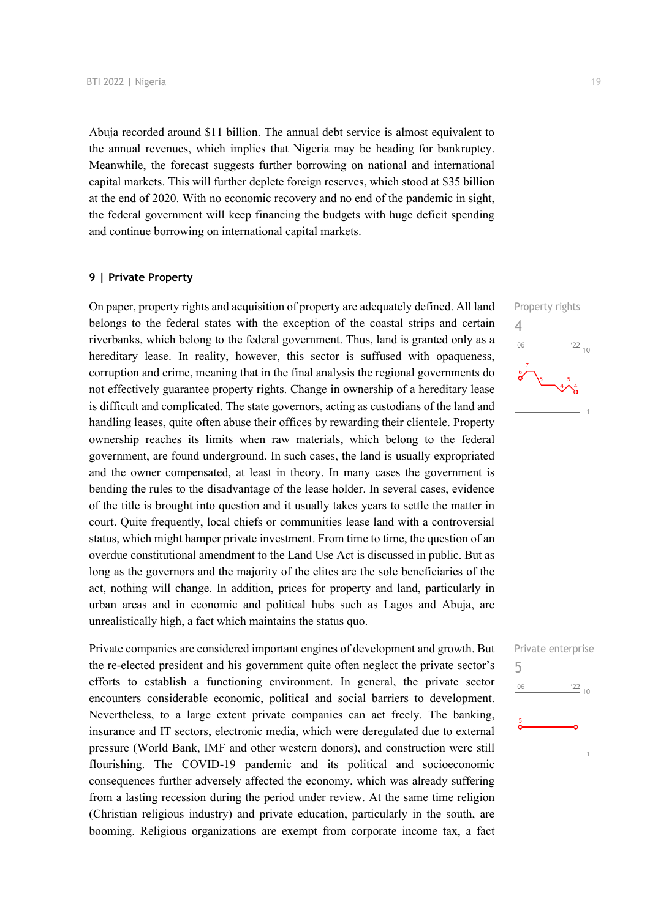Abuja recorded around \$11 billion. The annual debt service is almost equivalent to the annual revenues, which implies that Nigeria may be heading for bankruptcy. Meanwhile, the forecast suggests further borrowing on national and international capital markets. This will further deplete foreign reserves, which stood at \$35 billion at the end of 2020. With no economic recovery and no end of the pandemic in sight, the federal government will keep financing the budgets with huge deficit spending and continue borrowing on international capital markets.

#### **9 | Private Property**

On paper, property rights and acquisition of property are adequately defined. All land belongs to the federal states with the exception of the coastal strips and certain riverbanks, which belong to the federal government. Thus, land is granted only as a hereditary lease. In reality, however, this sector is suffused with opaqueness, corruption and crime, meaning that in the final analysis the regional governments do not effectively guarantee property rights. Change in ownership of a hereditary lease is difficult and complicated. The state governors, acting as custodians of the land and handling leases, quite often abuse their offices by rewarding their clientele. Property ownership reaches its limits when raw materials, which belong to the federal government, are found underground. In such cases, the land is usually expropriated and the owner compensated, at least in theory. In many cases the government is bending the rules to the disadvantage of the lease holder. In several cases, evidence of the title is brought into question and it usually takes years to settle the matter in court. Quite frequently, local chiefs or communities lease land with a controversial status, which might hamper private investment. From time to time, the question of an overdue constitutional amendment to the Land Use Act is discussed in public. But as long as the governors and the majority of the elites are the sole beneficiaries of the act, nothing will change. In addition, prices for property and land, particularly in urban areas and in economic and political hubs such as Lagos and Abuja, are unrealistically high, a fact which maintains the status quo.

Private companies are considered important engines of development and growth. But the re-elected president and his government quite often neglect the private sector's efforts to establish a functioning environment. In general, the private sector encounters considerable economic, political and social barriers to development. Nevertheless, to a large extent private companies can act freely. The banking, insurance and IT sectors, electronic media, which were deregulated due to external pressure (World Bank, IMF and other western donors), and construction were still flourishing. The COVID-19 pandemic and its political and socioeconomic consequences further adversely affected the economy, which was already suffering from a lasting recession during the period under review. At the same time religion (Christian religious industry) and private education, particularly in the south, are booming. Religious organizations are exempt from corporate income tax, a fact



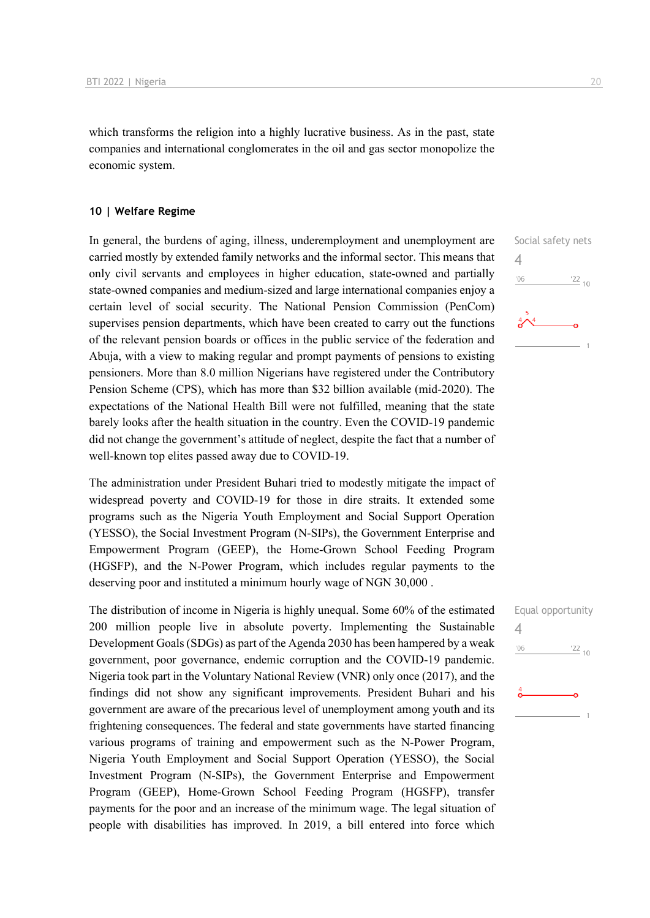which transforms the religion into a highly lucrative business. As in the past, state companies and international conglomerates in the oil and gas sector monopolize the economic system.

# **10 | Welfare Regime**

In general, the burdens of aging, illness, underemployment and unemployment are carried mostly by extended family networks and the informal sector. This means that only civil servants and employees in higher education, state-owned and partially state-owned companies and medium-sized and large international companies enjoy a certain level of social security. The National Pension Commission (PenCom) supervises pension departments, which have been created to carry out the functions of the relevant pension boards or offices in the public service of the federation and Abuja, with a view to making regular and prompt payments of pensions to existing pensioners. More than 8.0 million Nigerians have registered under the Contributory Pension Scheme (CPS), which has more than \$32 billion available (mid-2020). The expectations of the National Health Bill were not fulfilled, meaning that the state barely looks after the health situation in the country. Even the COVID-19 pandemic did not change the government's attitude of neglect, despite the fact that a number of well-known top elites passed away due to COVID-19.

The administration under President Buhari tried to modestly mitigate the impact of widespread poverty and COVID-19 for those in dire straits. It extended some programs such as the Nigeria Youth Employment and Social Support Operation (YESSO), the Social Investment Program (N-SIPs), the Government Enterprise and Empowerment Program (GEEP), the Home-Grown School Feeding Program (HGSFP), and the N-Power Program, which includes regular payments to the deserving poor and instituted a minimum hourly wage of NGN 30,000 .

The distribution of income in Nigeria is highly unequal. Some 60% of the estimated 200 million people live in absolute poverty. Implementing the Sustainable Development Goals (SDGs) as part of the Agenda 2030 has been hampered by a weak government, poor governance, endemic corruption and the COVID-19 pandemic. Nigeria took part in the Voluntary National Review (VNR) only once (2017), and the findings did not show any significant improvements. President Buhari and his government are aware of the precarious level of unemployment among youth and its frightening consequences. The federal and state governments have started financing various programs of training and empowerment such as the N-Power Program, Nigeria Youth Employment and Social Support Operation (YESSO), the Social Investment Program (N-SIPs), the Government Enterprise and Empowerment Program (GEEP), Home-Grown School Feeding Program (HGSFP), transfer payments for the poor and an increase of the minimum wage. The legal situation of people with disabilities has improved. In 2019, a bill entered into force which

Social safety nets 4  $\frac{22}{10}$ '06

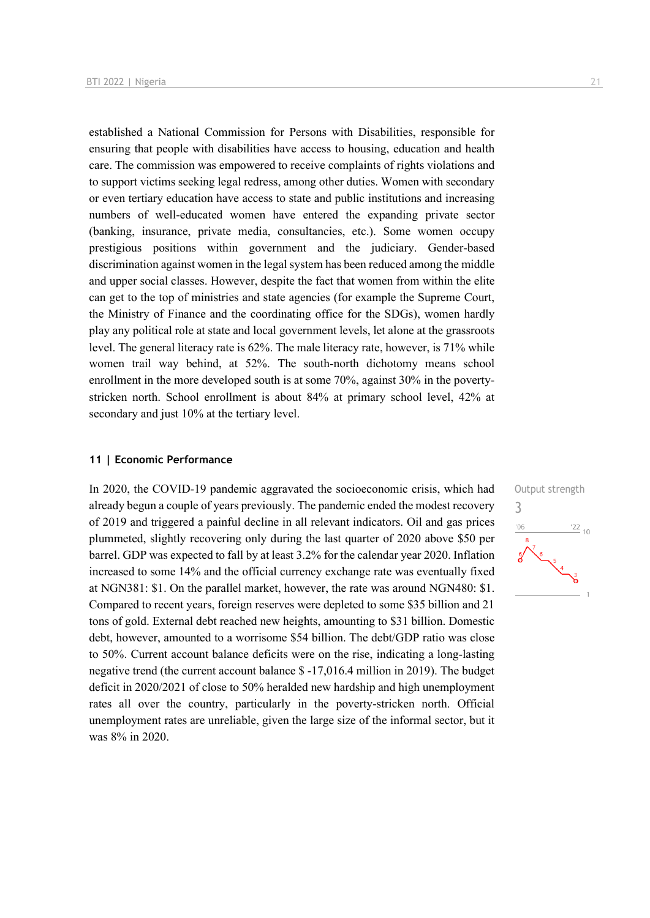established a National Commission for Persons with Disabilities, responsible for ensuring that people with disabilities have access to housing, education and health care. The commission was empowered to receive complaints of rights violations and to support victims seeking legal redress, among other duties. Women with secondary or even tertiary education have access to state and public institutions and increasing numbers of well-educated women have entered the expanding private sector (banking, insurance, private media, consultancies, etc.). Some women occupy prestigious positions within government and the judiciary. Gender-based discrimination against women in the legal system has been reduced among the middle and upper social classes. However, despite the fact that women from within the elite can get to the top of ministries and state agencies (for example the Supreme Court, the Ministry of Finance and the coordinating office for the SDGs), women hardly play any political role at state and local government levels, let alone at the grassroots level. The general literacy rate is 62%. The male literacy rate, however, is 71% while women trail way behind, at 52%. The south-north dichotomy means school enrollment in the more developed south is at some 70%, against 30% in the povertystricken north. School enrollment is about 84% at primary school level, 42% at secondary and just 10% at the tertiary level.

# **11 | Economic Performance**

In 2020, the COVID-19 pandemic aggravated the socioeconomic crisis, which had already begun a couple of years previously. The pandemic ended the modest recovery of 2019 and triggered a painful decline in all relevant indicators. Oil and gas prices plummeted, slightly recovering only during the last quarter of 2020 above \$50 per barrel. GDP was expected to fall by at least 3.2% for the calendar year 2020. Inflation increased to some 14% and the official currency exchange rate was eventually fixed at NGN381: \$1. On the parallel market, however, the rate was around NGN480: \$1. Compared to recent years, foreign reserves were depleted to some \$35 billion and 21 tons of gold. External debt reached new heights, amounting to \$31 billion. Domestic debt, however, amounted to a worrisome \$54 billion. The debt/GDP ratio was close to 50%. Current account balance deficits were on the rise, indicating a long-lasting negative trend (the current account balance \$ -17,016.4 million in 2019). The budget deficit in 2020/2021 of close to 50% heralded new hardship and high unemployment rates all over the country, particularly in the poverty-stricken north. Official unemployment rates are unreliable, given the large size of the informal sector, but it was 8% in 2020.

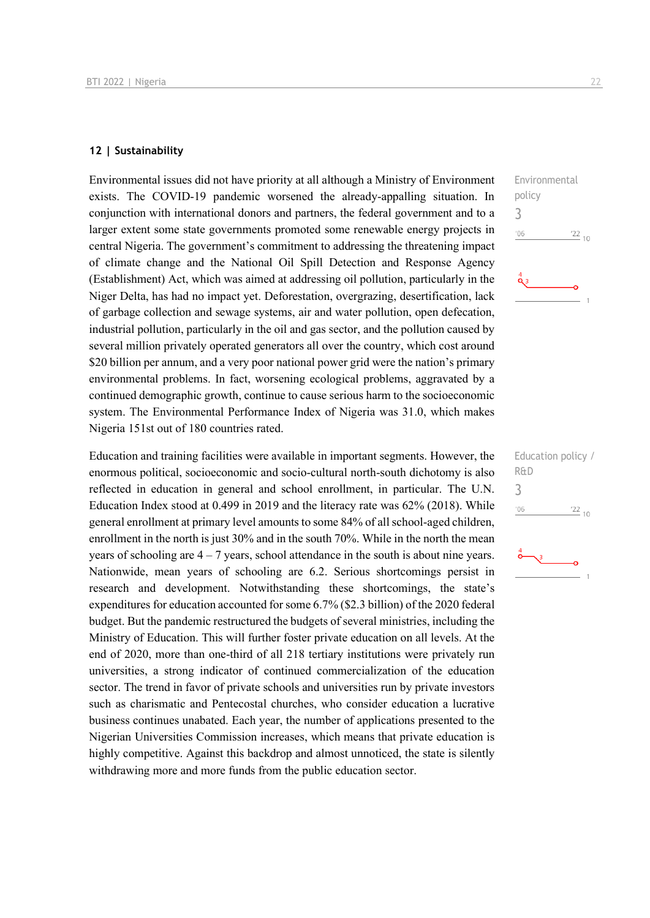# **12 | Sustainability**

Environmental issues did not have priority at all although a Ministry of Environment exists. The COVID-19 pandemic worsened the already-appalling situation. In conjunction with international donors and partners, the federal government and to a larger extent some state governments promoted some renewable energy projects in central Nigeria. The government's commitment to addressing the threatening impact of climate change and the National Oil Spill Detection and Response Agency (Establishment) Act, which was aimed at addressing oil pollution, particularly in the Niger Delta, has had no impact yet. Deforestation, overgrazing, desertification, lack of garbage collection and sewage systems, air and water pollution, open defecation, industrial pollution, particularly in the oil and gas sector, and the pollution caused by several million privately operated generators all over the country, which cost around \$20 billion per annum, and a very poor national power grid were the nation's primary environmental problems. In fact, worsening ecological problems, aggravated by a continued demographic growth, continue to cause serious harm to the socioeconomic system. The Environmental Performance Index of Nigeria was 31.0, which makes Nigeria 151st out of 180 countries rated.

Education and training facilities were available in important segments. However, the enormous political, socioeconomic and socio-cultural north-south dichotomy is also reflected in education in general and school enrollment, in particular. The U.N. Education Index stood at 0.499 in 2019 and the literacy rate was 62% (2018). While general enrollment at primary level amounts to some 84% of all school-aged children, enrollment in the north is just 30% and in the south 70%. While in the north the mean years of schooling are  $4 - 7$  years, school attendance in the south is about nine years. Nationwide, mean years of schooling are 6.2. Serious shortcomings persist in research and development. Notwithstanding these shortcomings, the state's expenditures for education accounted for some 6.7% (\$2.3 billion) of the 2020 federal budget. But the pandemic restructured the budgets of several ministries, including the Ministry of Education. This will further foster private education on all levels. At the end of 2020, more than one-third of all 218 tertiary institutions were privately run universities, a strong indicator of continued commercialization of the education sector. The trend in favor of private schools and universities run by private investors such as charismatic and Pentecostal churches, who consider education a lucrative business continues unabated. Each year, the number of applications presented to the Nigerian Universities Commission increases, which means that private education is highly competitive. Against this backdrop and almost unnoticed, the state is silently withdrawing more and more funds from the public education sector.



| Education policy /<br>R&D |
|---------------------------|
| ń                         |
| '06<br>$\frac{22}{10}$    |
|                           |
|                           |
|                           |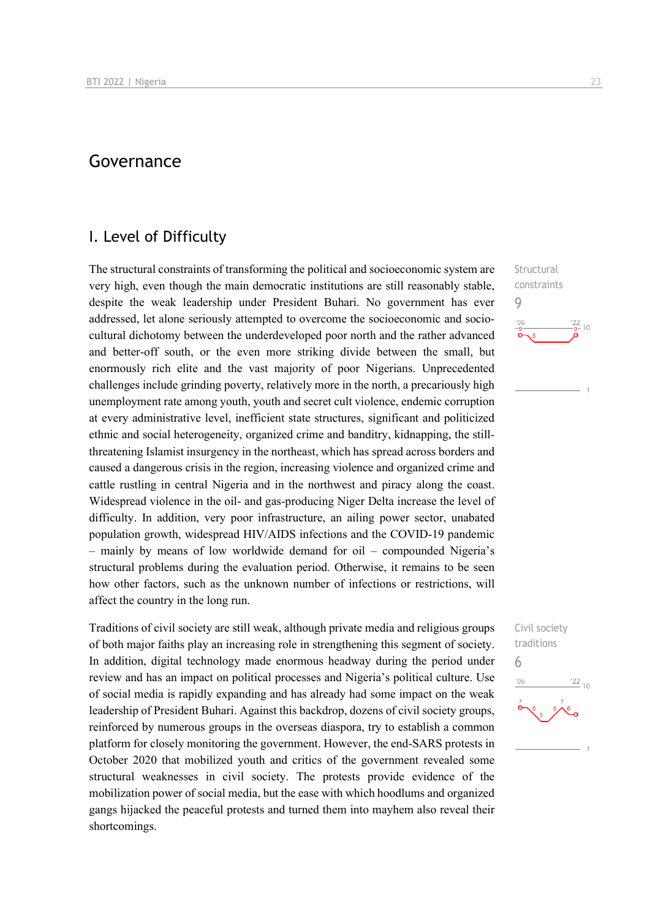# Governance

# I. Level of Difficulty

The structural constraints of transforming the political and socioeconomic system are very high, even though the main democratic institutions are still reasonably stable, despite the weak leadership under President Buhari. No government has ever addressed, let alone seriously attempted to overcome the socioeconomic and sociocultural dichotomy between the underdeveloped poor north and the rather advanced and better-off south, or the even more striking divide between the small, but enormously rich elite and the vast majority of poor Nigerians. Unprecedented challenges include grinding poverty, relatively more in the north, a precariously high unemployment rate among youth, youth and secret cult violence, endemic corruption at every administrative level, inefficient state structures, significant and politicized ethnic and social heterogeneity, organized crime and banditry, kidnapping, the stillthreatening Islamist insurgency in the northeast, which has spread across borders and caused a dangerous crisis in the region, increasing violence and organized crime and cattle rustling in central Nigeria and in the northwest and piracy along the coast. Widespread violence in the oil- and gas-producing Niger Delta increase the level of difficulty. In addition, very poor infrastructure, an ailing power sector, unabated population growth, widespread HIV/AIDS infections and the COVID-19 pandemic – mainly by means of low worldwide demand for oil – compounded Nigeria's structural problems during the evaluation period. Otherwise, it remains to be seen how other factors, such as the unknown number of infections or restrictions, will affect the country in the long run.

Traditions of civil society are still weak, although private media and religious groups of both major faiths play an increasing role in strengthening this segment of society. In addition, digital technology made enormous headway during the period under review and has an impact on political processes and Nigeria's political culture. Use of social media is rapidly expanding and has already had some impact on the weak leadership of President Buhari. Against this backdrop, dozens of civil society groups, reinforced by numerous groups in the overseas diaspora, try to establish a common platform for closely monitoring the government. However, the end-SARS protests in October 2020 that mobilized youth and critics of the government revealed some structural weaknesses in civil society. The protests provide evidence of the mobilization power of social media, but the ease with which hoodlums and organized gangs hijacked the peaceful protests and turned them into mayhem also reveal their shortcomings.

**Structural** constraints 9  $\frac{22}{9}$ - 10

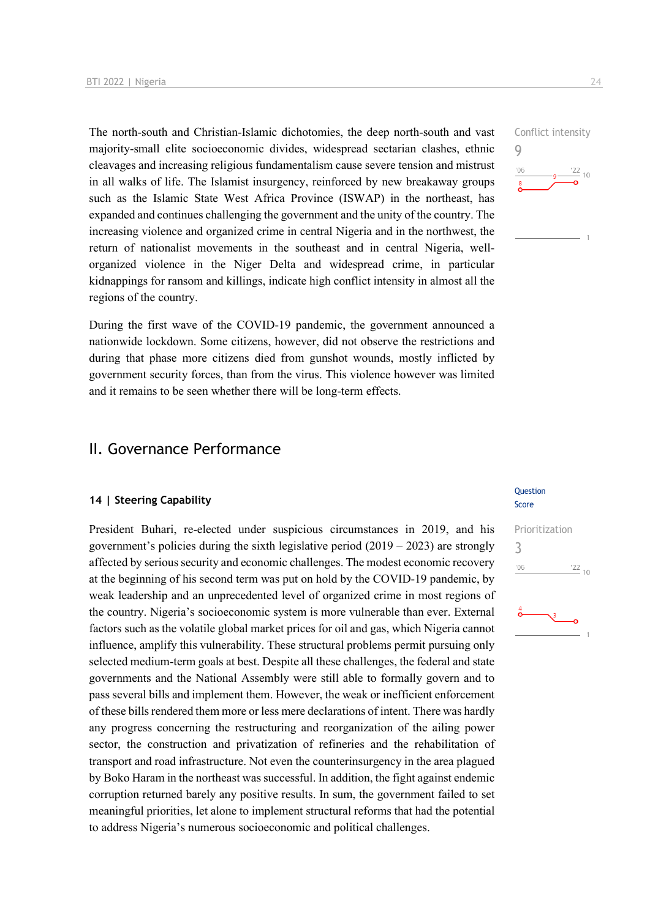The north-south and Christian-Islamic dichotomies, the deep north-south and vast majority-small elite socioeconomic divides, widespread sectarian clashes, ethnic cleavages and increasing religious fundamentalism cause severe tension and mistrust in all walks of life. The Islamist insurgency, reinforced by new breakaway groups such as the Islamic State West Africa Province (ISWAP) in the northeast, has expanded and continues challenging the government and the unity of the country. The increasing violence and organized crime in central Nigeria and in the northwest, the return of nationalist movements in the southeast and in central Nigeria, wellorganized violence in the Niger Delta and widespread crime, in particular kidnappings for ransom and killings, indicate high conflict intensity in almost all the regions of the country.

During the first wave of the COVID-19 pandemic, the government announced a nationwide lockdown. Some citizens, however, did not observe the restrictions and during that phase more citizens died from gunshot wounds, mostly inflicted by government security forces, than from the virus. This violence however was limited and it remains to be seen whether there will be long-term effects.

# II. Governance Performance

# **14 | Steering Capability**

President Buhari, re-elected under suspicious circumstances in 2019, and his government's policies during the sixth legislative period  $(2019 - 2023)$  are strongly affected by serious security and economic challenges. The modest economic recovery at the beginning of his second term was put on hold by the COVID-19 pandemic, by weak leadership and an unprecedented level of organized crime in most regions of the country. Nigeria's socioeconomic system is more vulnerable than ever. External factors such as the volatile global market prices for oil and gas, which Nigeria cannot influence, amplify this vulnerability. These structural problems permit pursuing only selected medium-term goals at best. Despite all these challenges, the federal and state governments and the National Assembly were still able to formally govern and to pass several bills and implement them. However, the weak or inefficient enforcement of these bills rendered them more or less mere declarations of intent. There was hardly any progress concerning the restructuring and reorganization of the ailing power sector, the construction and privatization of refineries and the rehabilitation of transport and road infrastructure. Not even the counterinsurgency in the area plagued by Boko Haram in the northeast was successful. In addition, the fight against endemic corruption returned barely any positive results. In sum, the government failed to set meaningful priorities, let alone to implement structural reforms that had the potential to address Nigeria's numerous socioeconomic and political challenges.



#### Question Score

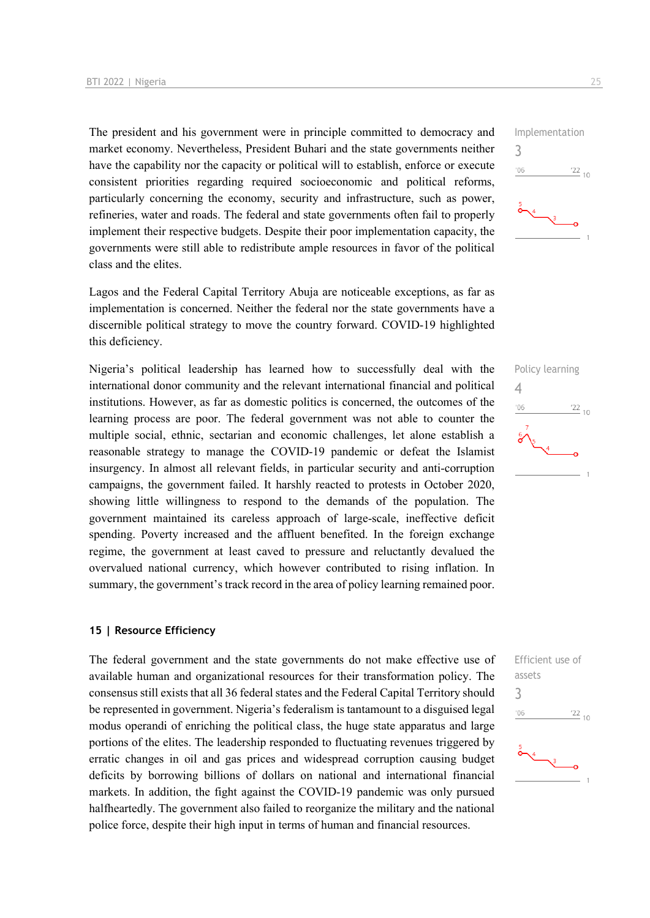The president and his government were in principle committed to democracy and market economy. Nevertheless, President Buhari and the state governments neither have the capability nor the capacity or political will to establish, enforce or execute consistent priorities regarding required socioeconomic and political reforms, particularly concerning the economy, security and infrastructure, such as power, refineries, water and roads. The federal and state governments often fail to properly implement their respective budgets. Despite their poor implementation capacity, the governments were still able to redistribute ample resources in favor of the political class and the elites.

Lagos and the Federal Capital Territory Abuja are noticeable exceptions, as far as implementation is concerned. Neither the federal nor the state governments have a discernible political strategy to move the country forward. COVID-19 highlighted this deficiency.

Nigeria's political leadership has learned how to successfully deal with the international donor community and the relevant international financial and political institutions. However, as far as domestic politics is concerned, the outcomes of the learning process are poor. The federal government was not able to counter the multiple social, ethnic, sectarian and economic challenges, let alone establish a reasonable strategy to manage the COVID-19 pandemic or defeat the Islamist insurgency. In almost all relevant fields, in particular security and anti-corruption campaigns, the government failed. It harshly reacted to protests in October 2020, showing little willingness to respond to the demands of the population. The government maintained its careless approach of large-scale, ineffective deficit spending. Poverty increased and the affluent benefited. In the foreign exchange regime, the government at least caved to pressure and reluctantly devalued the overvalued national currency, which however contributed to rising inflation. In summary, the government's track record in the area of policy learning remained poor.

# **15 | Resource Efficiency**

The federal government and the state governments do not make effective use of available human and organizational resources for their transformation policy. The consensus still exists that all 36 federal states and the Federal Capital Territory should be represented in government. Nigeria's federalism is tantamount to a disguised legal modus operandi of enriching the political class, the huge state apparatus and large portions of the elites. The leadership responded to fluctuating revenues triggered by erratic changes in oil and gas prices and widespread corruption causing budget deficits by borrowing billions of dollars on national and international financial markets. In addition, the fight against the COVID-19 pandemic was only pursued halfheartedly. The government also failed to reorganize the military and the national police force, despite their high input in terms of human and financial resources.





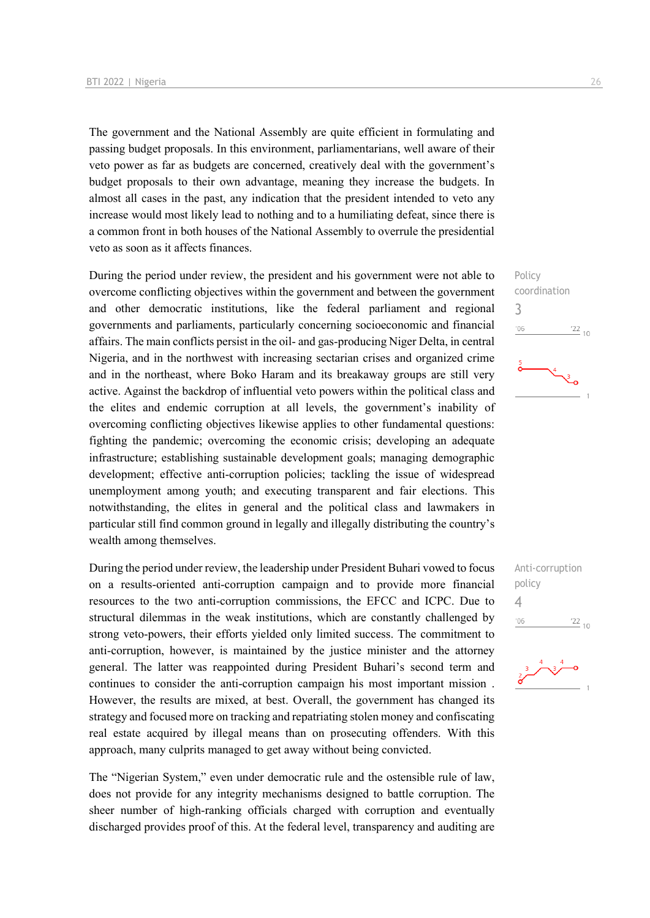The government and the National Assembly are quite efficient in formulating and passing budget proposals. In this environment, parliamentarians, well aware of their veto power as far as budgets are concerned, creatively deal with the government's budget proposals to their own advantage, meaning they increase the budgets. In almost all cases in the past, any indication that the president intended to veto any increase would most likely lead to nothing and to a humiliating defeat, since there is a common front in both houses of the National Assembly to overrule the presidential veto as soon as it affects finances.

During the period under review, the president and his government were not able to overcome conflicting objectives within the government and between the government and other democratic institutions, like the federal parliament and regional governments and parliaments, particularly concerning socioeconomic and financial affairs. The main conflicts persist in the oil- and gas-producing Niger Delta, in central Nigeria, and in the northwest with increasing sectarian crises and organized crime and in the northeast, where Boko Haram and its breakaway groups are still very active. Against the backdrop of influential veto powers within the political class and the elites and endemic corruption at all levels, the government's inability of overcoming conflicting objectives likewise applies to other fundamental questions: fighting the pandemic; overcoming the economic crisis; developing an adequate infrastructure; establishing sustainable development goals; managing demographic development; effective anti-corruption policies; tackling the issue of widespread unemployment among youth; and executing transparent and fair elections. This notwithstanding, the elites in general and the political class and lawmakers in particular still find common ground in legally and illegally distributing the country's wealth among themselves.

During the period under review, the leadership under President Buhari vowed to focus on a results-oriented anti-corruption campaign and to provide more financial resources to the two anti-corruption commissions, the EFCC and ICPC. Due to structural dilemmas in the weak institutions, which are constantly challenged by strong veto-powers, their efforts yielded only limited success. The commitment to anti-corruption, however, is maintained by the justice minister and the attorney general. The latter was reappointed during President Buhari's second term and continues to consider the anti-corruption campaign his most important mission . However, the results are mixed, at best. Overall, the government has changed its strategy and focused more on tracking and repatriating stolen money and confiscating real estate acquired by illegal means than on prosecuting offenders. With this approach, many culprits managed to get away without being convicted.

The "Nigerian System," even under democratic rule and the ostensible rule of law, does not provide for any integrity mechanisms designed to battle corruption. The sheer number of high-ranking officials charged with corruption and eventually discharged provides proof of this. At the federal level, transparency and auditing are





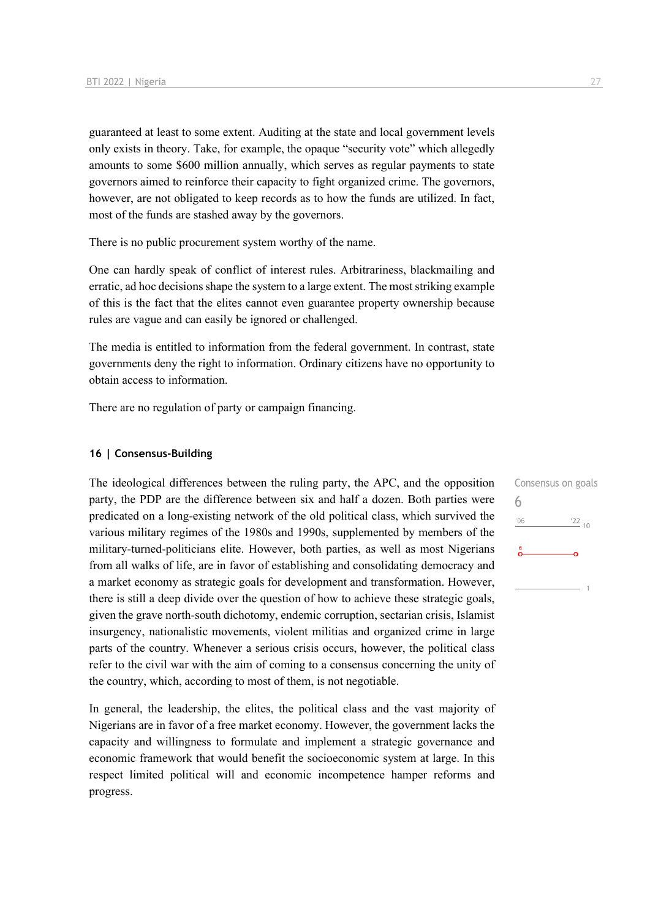guaranteed at least to some extent. Auditing at the state and local government levels only exists in theory. Take, for example, the opaque "security vote" which allegedly amounts to some \$600 million annually, which serves as regular payments to state governors aimed to reinforce their capacity to fight organized crime. The governors, however, are not obligated to keep records as to how the funds are utilized. In fact, most of the funds are stashed away by the governors.

There is no public procurement system worthy of the name.

One can hardly speak of conflict of interest rules. Arbitrariness, blackmailing and erratic, ad hoc decisions shape the system to a large extent. The most striking example of this is the fact that the elites cannot even guarantee property ownership because rules are vague and can easily be ignored or challenged.

The media is entitled to information from the federal government. In contrast, state governments deny the right to information. Ordinary citizens have no opportunity to obtain access to information.

There are no regulation of party or campaign financing.

# **16 | Consensus-Building**

The ideological differences between the ruling party, the APC, and the opposition party, the PDP are the difference between six and half a dozen. Both parties were predicated on a long-existing network of the old political class, which survived the various military regimes of the 1980s and 1990s, supplemented by members of the military-turned-politicians elite. However, both parties, as well as most Nigerians from all walks of life, are in favor of establishing and consolidating democracy and a market economy as strategic goals for development and transformation. However, there is still a deep divide over the question of how to achieve these strategic goals, given the grave north-south dichotomy, endemic corruption, sectarian crisis, Islamist insurgency, nationalistic movements, violent militias and organized crime in large parts of the country. Whenever a serious crisis occurs, however, the political class refer to the civil war with the aim of coming to a consensus concerning the unity of the country, which, according to most of them, is not negotiable.

In general, the leadership, the elites, the political class and the vast majority of Nigerians are in favor of a free market economy. However, the government lacks the capacity and willingness to formulate and implement a strategic governance and economic framework that would benefit the socioeconomic system at large. In this respect limited political will and economic incompetence hamper reforms and progress.

Consensus on goals 6 $'06$  $\frac{22}{10}$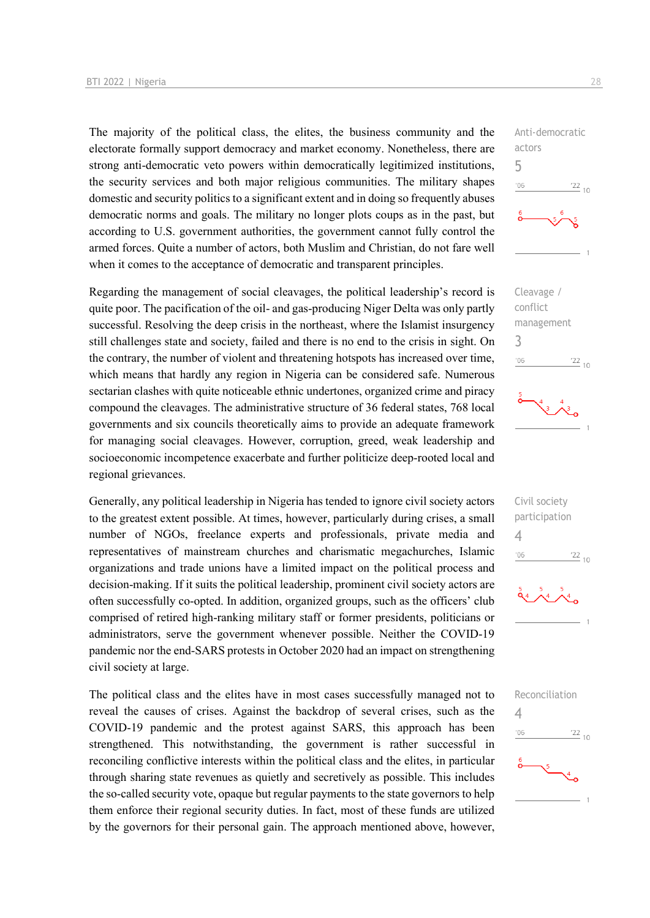The majority of the political class, the elites, the business community and the electorate formally support democracy and market economy. Nonetheless, there are strong anti-democratic veto powers within democratically legitimized institutions, the security services and both major religious communities. The military shapes domestic and security politics to a significant extent and in doing so frequently abuses democratic norms and goals. The military no longer plots coups as in the past, but according to U.S. government authorities, the government cannot fully control the armed forces. Quite a number of actors, both Muslim and Christian, do not fare well when it comes to the acceptance of democratic and transparent principles.

Regarding the management of social cleavages, the political leadership's record is quite poor. The pacification of the oil- and gas-producing Niger Delta was only partly successful. Resolving the deep crisis in the northeast, where the Islamist insurgency still challenges state and society, failed and there is no end to the crisis in sight. On the contrary, the number of violent and threatening hotspots has increased over time, which means that hardly any region in Nigeria can be considered safe. Numerous sectarian clashes with quite noticeable ethnic undertones, organized crime and piracy compound the cleavages. The administrative structure of 36 federal states, 768 local governments and six councils theoretically aims to provide an adequate framework for managing social cleavages. However, corruption, greed, weak leadership and socioeconomic incompetence exacerbate and further politicize deep-rooted local and regional grievances.

Generally, any political leadership in Nigeria has tended to ignore civil society actors to the greatest extent possible. At times, however, particularly during crises, a small number of NGOs, freelance experts and professionals, private media and representatives of mainstream churches and charismatic megachurches, Islamic organizations and trade unions have a limited impact on the political process and decision-making. If it suits the political leadership, prominent civil society actors are often successfully co-opted. In addition, organized groups, such as the officers' club comprised of retired high-ranking military staff or former presidents, politicians or administrators, serve the government whenever possible. Neither the COVID-19 pandemic nor the end-SARS protests in October 2020 had an impact on strengthening civil society at large.

The political class and the elites have in most cases successfully managed not to reveal the causes of crises. Against the backdrop of several crises, such as the COVID-19 pandemic and the protest against SARS, this approach has been strengthened. This notwithstanding, the government is rather successful in reconciling conflictive interests within the political class and the elites, in particular through sharing state revenues as quietly and secretively as possible. This includes the so-called security vote, opaque but regular payments to the state governors to help them enforce their regional security duties. In fact, most of these funds are utilized by the governors for their personal gain. The approach mentioned above, however,



Anti-democratic

actors





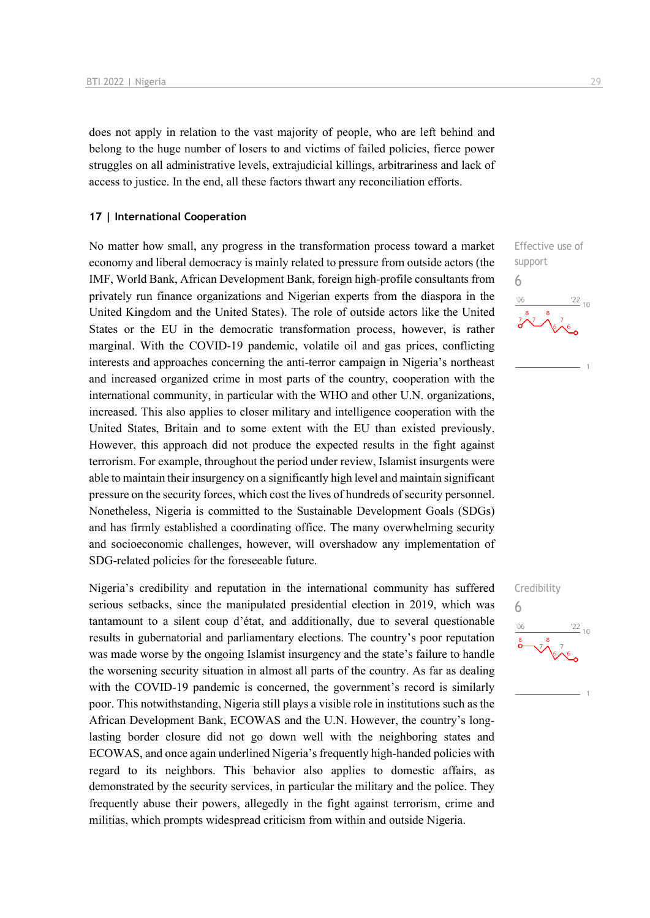does not apply in relation to the vast majority of people, who are left behind and belong to the huge number of losers to and victims of failed policies, fierce power struggles on all administrative levels, extrajudicial killings, arbitrariness and lack of access to justice. In the end, all these factors thwart any reconciliation efforts.

# **17 | International Cooperation**

No matter how small, any progress in the transformation process toward a market economy and liberal democracy is mainly related to pressure from outside actors (the IMF, World Bank, African Development Bank, foreign high-profile consultants from privately run finance organizations and Nigerian experts from the diaspora in the United Kingdom and the United States). The role of outside actors like the United States or the EU in the democratic transformation process, however, is rather marginal. With the COVID-19 pandemic, volatile oil and gas prices, conflicting interests and approaches concerning the anti-terror campaign in Nigeria's northeast and increased organized crime in most parts of the country, cooperation with the international community, in particular with the WHO and other U.N. organizations, increased. This also applies to closer military and intelligence cooperation with the United States, Britain and to some extent with the EU than existed previously. However, this approach did not produce the expected results in the fight against terrorism. For example, throughout the period under review, Islamist insurgents were able to maintain their insurgency on a significantly high level and maintain significant pressure on the security forces, which cost the lives of hundreds of security personnel. Nonetheless, Nigeria is committed to the Sustainable Development Goals (SDGs) and has firmly established a coordinating office. The many overwhelming security and socioeconomic challenges, however, will overshadow any implementation of SDG-related policies for the foreseeable future.

Nigeria's credibility and reputation in the international community has suffered serious setbacks, since the manipulated presidential election in 2019, which was tantamount to a silent coup d'état, and additionally, due to several questionable results in gubernatorial and parliamentary elections. The country's poor reputation was made worse by the ongoing Islamist insurgency and the state's failure to handle the worsening security situation in almost all parts of the country. As far as dealing with the COVID-19 pandemic is concerned, the government's record is similarly poor. This notwithstanding, Nigeria still plays a visible role in institutions such as the African Development Bank, ECOWAS and the U.N. However, the country's longlasting border closure did not go down well with the neighboring states and ECOWAS, and once again underlined Nigeria's frequently high-handed policies with regard to its neighbors. This behavior also applies to domestic affairs, as demonstrated by the security services, in particular the military and the police. They frequently abuse their powers, allegedly in the fight against terrorism, crime and militias, which prompts widespread criticism from within and outside Nigeria.





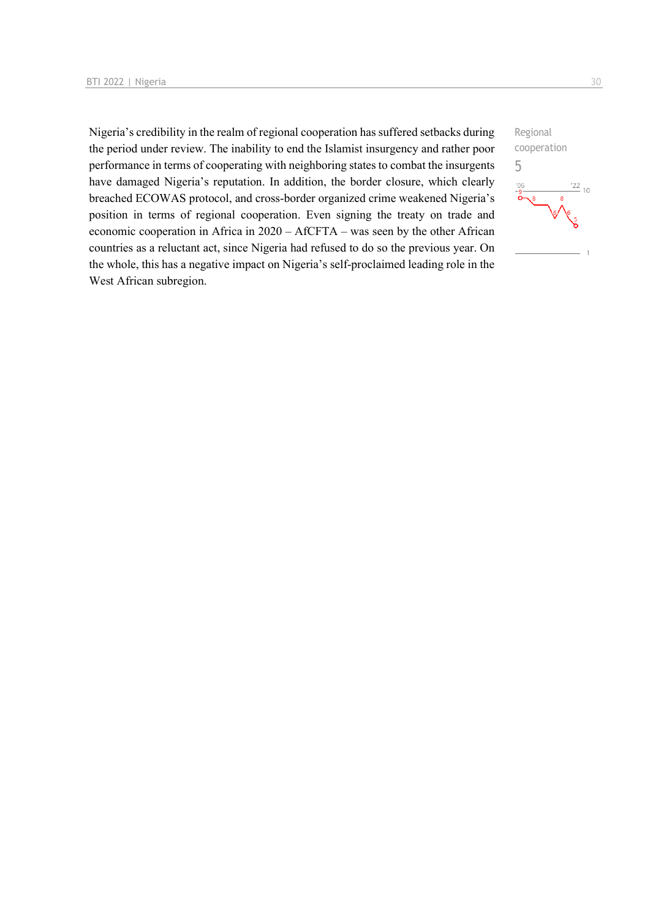Nigeria's credibility in the realm of regional cooperation has suffered setbacks during the period under review. The inability to end the Islamist insurgency and rather poor performance in terms of cooperating with neighboring states to combat the insurgents have damaged Nigeria's reputation. In addition, the border closure, which clearly breached ECOWAS protocol, and cross-border organized crime weakened Nigeria's position in terms of regional cooperation. Even signing the treaty on trade and economic cooperation in Africa in 2020 – AfCFTA – was seen by the other African countries as a reluctant act, since Nigeria had refused to do so the previous year. On the whole, this has a negative impact on Nigeria's self-proclaimed leading role in the West African subregion.